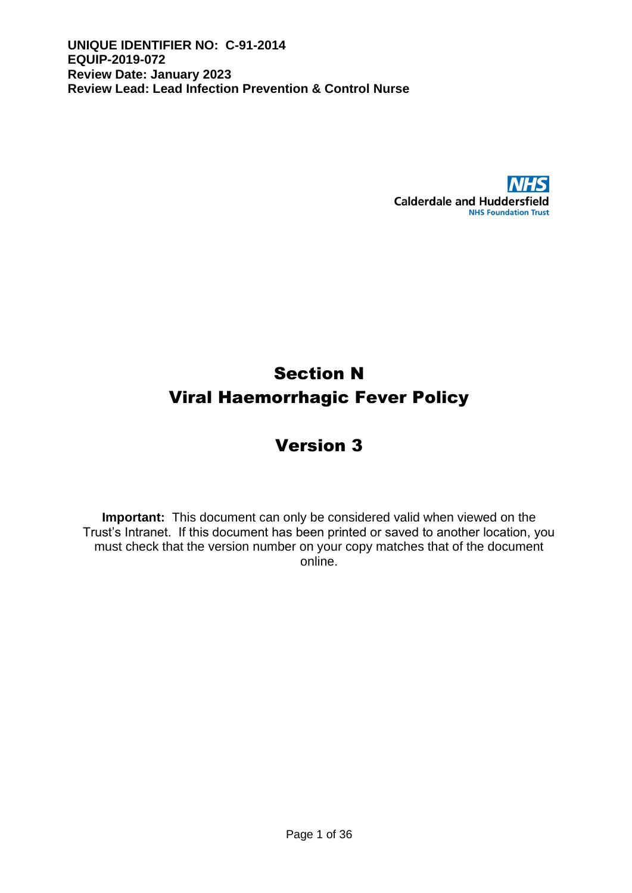

# Section N Viral Haemorrhagic Fever Policy

# Version 3

**Important:** This document can only be considered valid when viewed on the Trust's Intranet. If this document has been printed or saved to another location, you must check that the version number on your copy matches that of the document online.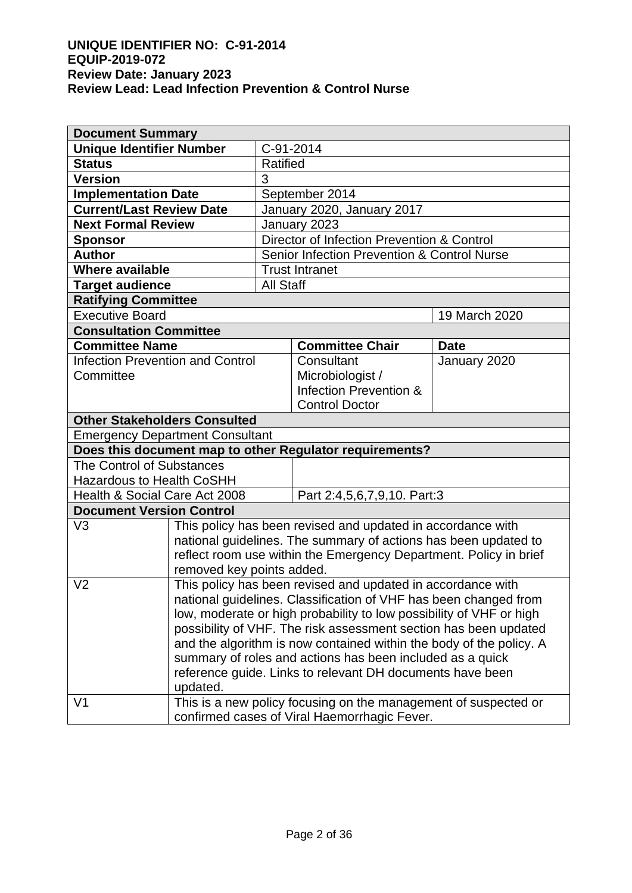| <b>Document Summary</b>                                 |                           |                  |                                                                     |               |
|---------------------------------------------------------|---------------------------|------------------|---------------------------------------------------------------------|---------------|
| <b>Unique Identifier Number</b>                         |                           |                  | C-91-2014                                                           |               |
| <b>Status</b>                                           |                           | <b>Ratified</b>  |                                                                     |               |
| <b>Version</b>                                          |                           | 3                |                                                                     |               |
| <b>Implementation Date</b>                              |                           |                  | September 2014                                                      |               |
| <b>Current/Last Review Date</b>                         |                           |                  | January 2020, January 2017                                          |               |
| <b>Next Formal Review</b>                               |                           |                  | January 2023                                                        |               |
| <b>Sponsor</b>                                          |                           |                  | Director of Infection Prevention & Control                          |               |
| <b>Author</b>                                           |                           |                  | <b>Senior Infection Prevention &amp; Control Nurse</b>              |               |
| Where available                                         |                           |                  | <b>Trust Intranet</b>                                               |               |
| <b>Target audience</b>                                  |                           | <b>All Staff</b> |                                                                     |               |
| <b>Ratifying Committee</b>                              |                           |                  |                                                                     |               |
| <b>Executive Board</b>                                  |                           |                  |                                                                     | 19 March 2020 |
| <b>Consultation Committee</b>                           |                           |                  |                                                                     |               |
| <b>Committee Name</b>                                   |                           |                  | <b>Committee Chair</b>                                              | <b>Date</b>   |
| <b>Infection Prevention and Control</b>                 |                           |                  | Consultant                                                          | January 2020  |
| Committee                                               |                           |                  | Microbiologist /                                                    |               |
|                                                         |                           |                  | Infection Prevention &                                              |               |
|                                                         |                           |                  | <b>Control Doctor</b>                                               |               |
| <b>Other Stakeholders Consulted</b>                     |                           |                  |                                                                     |               |
| <b>Emergency Department Consultant</b>                  |                           |                  |                                                                     |               |
| Does this document map to other Regulator requirements? |                           |                  |                                                                     |               |
| The Control of Substances                               |                           |                  |                                                                     |               |
| <b>Hazardous to Health CoSHH</b>                        |                           |                  |                                                                     |               |
| Health & Social Care Act 2008                           |                           |                  | Part 2:4,5,6,7,9,10. Part:3                                         |               |
| <b>Document Version Control</b>                         |                           |                  |                                                                     |               |
| V <sub>3</sub>                                          |                           |                  | This policy has been revised and updated in accordance with         |               |
|                                                         |                           |                  | national guidelines. The summary of actions has been updated to     |               |
|                                                         |                           |                  | reflect room use within the Emergency Department. Policy in brief   |               |
|                                                         | removed key points added. |                  |                                                                     |               |
| V <sub>2</sub>                                          |                           |                  | This policy has been revised and updated in accordance with         |               |
|                                                         |                           |                  | national guidelines. Classification of VHF has been changed from    |               |
|                                                         |                           |                  | low, moderate or high probability to low possibility of VHF or high |               |
|                                                         |                           |                  | possibility of VHF. The risk assessment section has been updated    |               |
|                                                         |                           |                  | and the algorithm is now contained within the body of the policy. A |               |
|                                                         |                           |                  | summary of roles and actions has been included as a quick           |               |
|                                                         |                           |                  | reference guide. Links to relevant DH documents have been           |               |
|                                                         | updated.                  |                  |                                                                     |               |
| V <sub>1</sub>                                          |                           |                  | This is a new policy focusing on the management of suspected or     |               |
|                                                         |                           |                  | confirmed cases of Viral Haemorrhagic Fever.                        |               |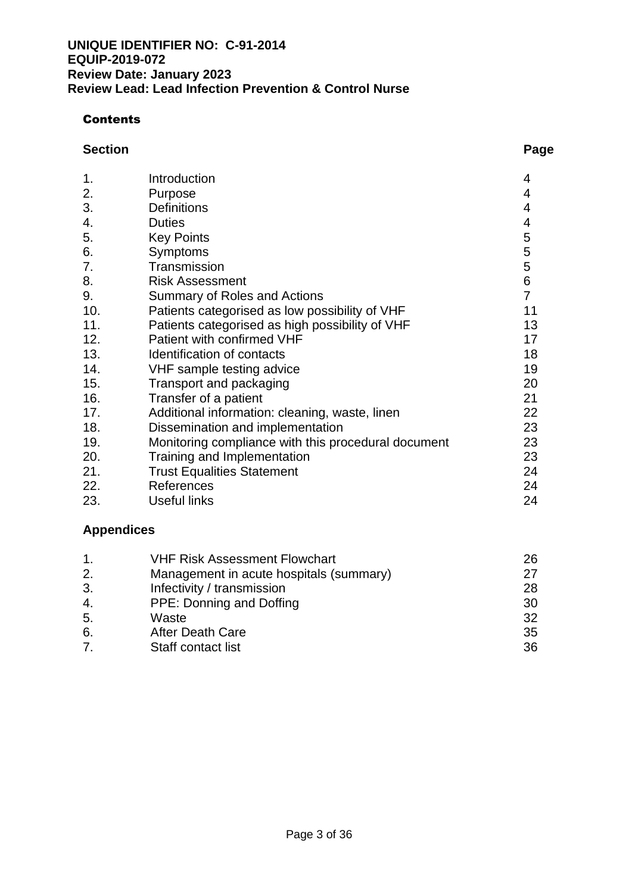## **Contents**

#### **Section Page**

| 1.  | Introduction                                        | 4              |
|-----|-----------------------------------------------------|----------------|
| 2.  | Purpose                                             | 4              |
| 3.  | <b>Definitions</b>                                  | 4              |
| 4.  | <b>Duties</b>                                       | 4              |
| 5.  | <b>Key Points</b>                                   | 5              |
| 6.  | Symptoms                                            | 5              |
| 7.  | Transmission                                        | 5              |
| 8.  | <b>Risk Assessment</b>                              | 6              |
| 9.  | <b>Summary of Roles and Actions</b>                 | $\overline{7}$ |
| 10. | Patients categorised as low possibility of VHF      | 11             |
| 11. | Patients categorised as high possibility of VHF     | 13             |
| 12. | Patient with confirmed VHF                          | 17             |
| 13. | Identification of contacts                          | 18             |
| 14. | VHF sample testing advice                           | 19             |
| 15. | Transport and packaging                             | 20             |
| 16. | Transfer of a patient                               | 21             |
| 17. | Additional information: cleaning, waste, linen      | 22             |
| 18. | Dissemination and implementation                    | 23             |
| 19. | Monitoring compliance with this procedural document | 23             |
| 20. | Training and Implementation                         | 23             |
| 21. | <b>Trust Equalities Statement</b>                   | 24             |
| 22. | References                                          | 24             |
| 23. | <b>Useful links</b>                                 | 24             |

# **Appendices**

| 1.               | <b>VHF Risk Assessment Flowchart</b>    | 26 |
|------------------|-----------------------------------------|----|
| 2.               | Management in acute hospitals (summary) | 27 |
| 3.               | Infectivity / transmission              | 28 |
| 4.               | PPE: Donning and Doffing                | 30 |
| 5.               | Waste                                   | 32 |
| 6.               | <b>After Death Care</b>                 | 35 |
| $\overline{7}$ . | Staff contact list                      | 36 |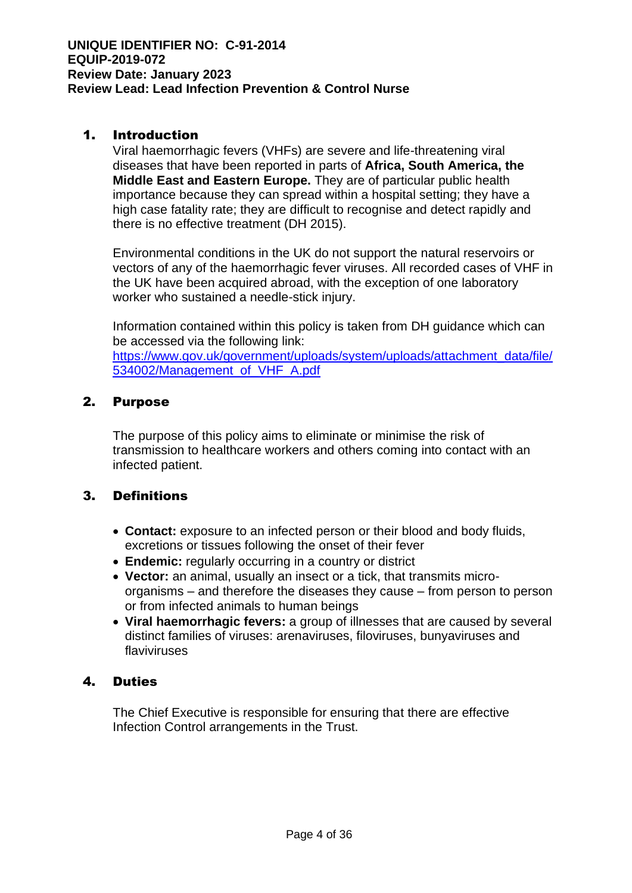## 1. Introduction

Viral haemorrhagic fevers (VHFs) are severe and life-threatening viral diseases that have been reported in parts of **Africa, South America, the Middle East and Eastern Europe.** They are of particular public health importance because they can spread within a hospital setting; they have a high case fatality rate; they are difficult to recognise and detect rapidly and there is no effective treatment (DH 2015).

Environmental conditions in the UK do not support the natural reservoirs or vectors of any of the haemorrhagic fever viruses. All recorded cases of VHF in the UK have been acquired abroad, with the exception of one laboratory worker who sustained a needle-stick injury.

Information contained within this policy is taken from DH guidance which can be accessed via the following link: [https://www.gov.uk/government/uploads/system/uploads/attachment\\_data/file/](https://www.gov.uk/government/uploads/system/uploads/attachment_data/file/534002/Management_of_VHF_A.pdf) [534002/Management\\_of\\_VHF\\_A.pdf](https://www.gov.uk/government/uploads/system/uploads/attachment_data/file/534002/Management_of_VHF_A.pdf)

## 2. Purpose

The purpose of this policy aims to eliminate or minimise the risk of transmission to healthcare workers and others coming into contact with an infected patient.

# 3. Definitions

- **Contact:** exposure to an infected person or their blood and body fluids, excretions or tissues following the onset of their fever
- **Endemic:** regularly occurring in a country or district
- **Vector:** an animal, usually an insect or a tick, that transmits microorganisms – and therefore the diseases they cause – from person to person or from infected animals to human beings
- **Viral haemorrhagic fevers:** a group of illnesses that are caused by several distinct families of viruses: arenaviruses, filoviruses, bunyaviruses and flaviviruses

# 4. Duties

The Chief Executive is responsible for ensuring that there are effective Infection Control arrangements in the Trust.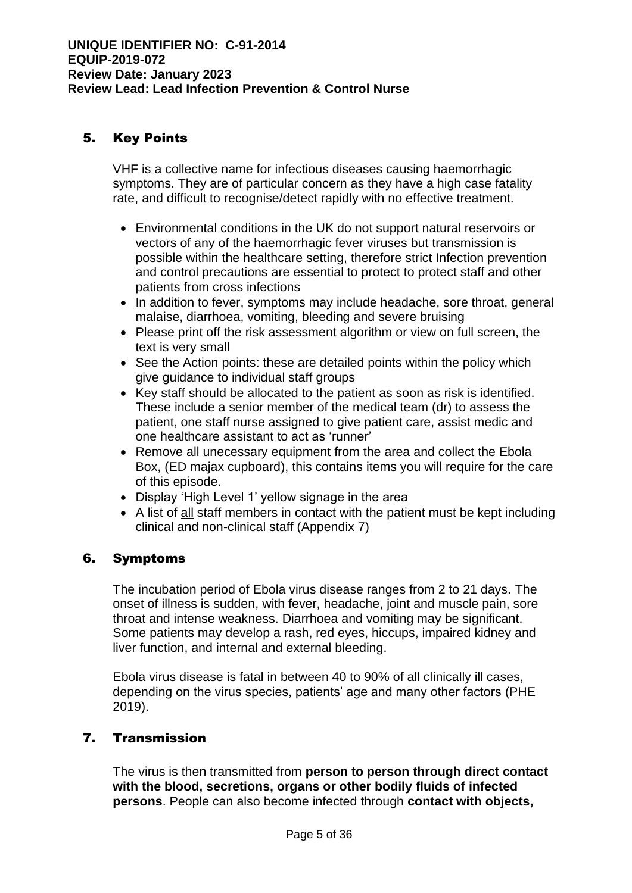# 5. Key Points

VHF is a collective name for infectious diseases causing haemorrhagic symptoms. They are of particular concern as they have a high case fatality rate, and difficult to recognise/detect rapidly with no effective treatment.

- Environmental conditions in the UK do not support natural reservoirs or vectors of any of the haemorrhagic fever viruses but transmission is possible within the healthcare setting, therefore strict Infection prevention and control precautions are essential to protect to protect staff and other patients from cross infections
- In addition to fever, symptoms may include headache, sore throat, general malaise, diarrhoea, vomiting, bleeding and severe bruising
- Please print off the risk assessment algorithm or view on full screen, the text is very small
- See the Action points: these are detailed points within the policy which give guidance to individual staff groups
- Key staff should be allocated to the patient as soon as risk is identified. These include a senior member of the medical team (dr) to assess the patient, one staff nurse assigned to give patient care, assist medic and one healthcare assistant to act as 'runner'
- Remove all unecessary equipment from the area and collect the Ebola Box, (ED majax cupboard), this contains items you will require for the care of this episode.
- Display 'High Level 1' yellow signage in the area
- A list of all staff members in contact with the patient must be kept including clinical and non-clinical staff (Appendix 7)

# 6. Symptoms

The incubation period of Ebola virus disease ranges from 2 to 21 days. The onset of illness is sudden, with fever, headache, joint and muscle pain, sore throat and intense weakness. Diarrhoea and vomiting may be significant. Some patients may develop a rash, red eyes, hiccups, impaired kidney and liver function, and internal and external bleeding.

Ebola virus disease is fatal in between 40 to 90% of all clinically ill cases, depending on the virus species, patients' age and many other factors (PHE 2019).

# 7. Transmission

The virus is then transmitted from **person to person through direct contact with the blood, secretions, organs or other bodily fluids of infected persons**. People can also become infected through **contact with objects,**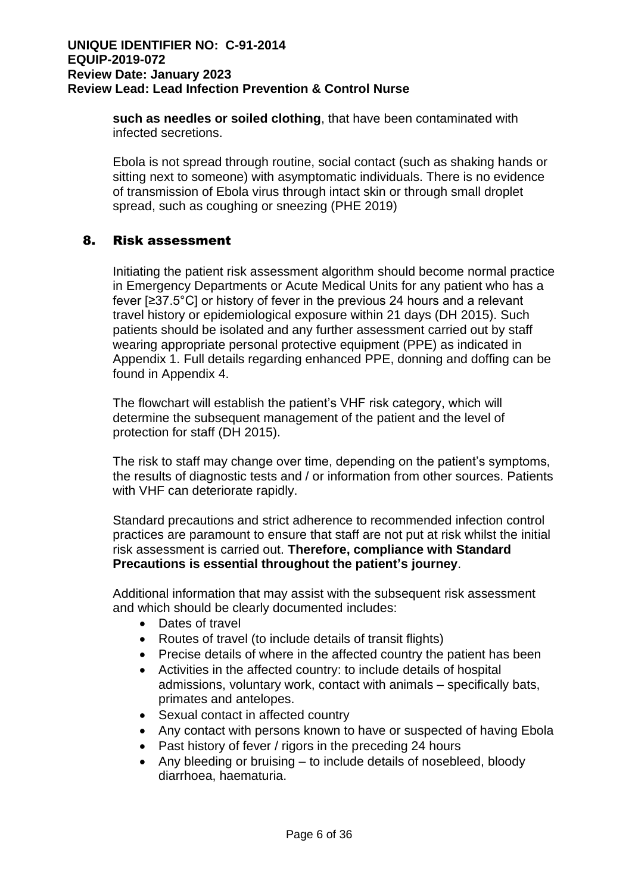**such as needles or soiled clothing**, that have been contaminated with infected secretions.

Ebola is not spread through routine, social contact (such as shaking hands or sitting next to someone) with asymptomatic individuals. There is no evidence of transmission of Ebola virus through intact skin or through small droplet spread, such as coughing or sneezing (PHE 2019)

## 8. Risk assessment

Initiating the patient risk assessment algorithm should become normal practice in Emergency Departments or Acute Medical Units for any patient who has a fever [≥37.5°C] or history of fever in the previous 24 hours and a relevant travel history or epidemiological exposure within 21 days (DH 2015). Such patients should be isolated and any further assessment carried out by staff wearing appropriate personal protective equipment (PPE) as indicated in Appendix 1. Full details regarding enhanced PPE, donning and doffing can be found in Appendix 4.

The flowchart will establish the patient's VHF risk category, which will determine the subsequent management of the patient and the level of protection for staff (DH 2015).

The risk to staff may change over time, depending on the patient's symptoms, the results of diagnostic tests and / or information from other sources. Patients with VHF can deteriorate rapidly.

Standard precautions and strict adherence to recommended infection control practices are paramount to ensure that staff are not put at risk whilst the initial risk assessment is carried out. **Therefore, compliance with Standard Precautions is essential throughout the patient's journey**.

Additional information that may assist with the subsequent risk assessment and which should be clearly documented includes:

- Dates of travel
- Routes of travel (to include details of transit flights)
- Precise details of where in the affected country the patient has been
- Activities in the affected country: to include details of hospital admissions, voluntary work, contact with animals – specifically bats, primates and antelopes.
- Sexual contact in affected country
- Any contact with persons known to have or suspected of having Ebola
- Past history of fever / rigors in the preceding 24 hours
- Any bleeding or bruising to include details of nosebleed, bloody diarrhoea, haematuria.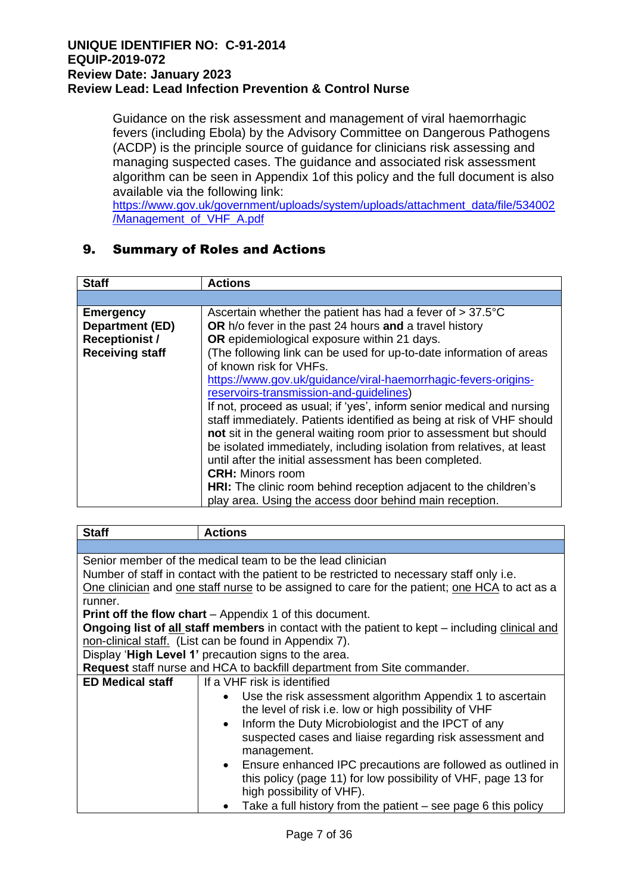Guidance on the risk assessment and management of viral haemorrhagic fevers (including Ebola) by the Advisory Committee on Dangerous Pathogens (ACDP) is the principle source of guidance for clinicians risk assessing and managing suspected cases. The guidance and associated risk assessment algorithm can be seen in Appendix 1of this policy and the full document is also available via the following link:

[https://www.gov.uk/government/uploads/system/uploads/attachment\\_data/file/534002](https://www.gov.uk/government/uploads/system/uploads/attachment_data/file/534002/Management_of_VHF_A.pdf) [/Management\\_of\\_VHF\\_A.pdf](https://www.gov.uk/government/uploads/system/uploads/attachment_data/file/534002/Management_of_VHF_A.pdf)

# 9. Summary of Roles and Actions

| <b>Staff</b>                                                                                  | <b>Actions</b>                                                                                                                                                                                                                                                                                                                                                                                                                                                                                                                                                                                                                                                                                                                                                                                                                                                                                                          |
|-----------------------------------------------------------------------------------------------|-------------------------------------------------------------------------------------------------------------------------------------------------------------------------------------------------------------------------------------------------------------------------------------------------------------------------------------------------------------------------------------------------------------------------------------------------------------------------------------------------------------------------------------------------------------------------------------------------------------------------------------------------------------------------------------------------------------------------------------------------------------------------------------------------------------------------------------------------------------------------------------------------------------------------|
|                                                                                               |                                                                                                                                                                                                                                                                                                                                                                                                                                                                                                                                                                                                                                                                                                                                                                                                                                                                                                                         |
| <b>Emergency</b><br><b>Department (ED)</b><br><b>Receptionist /</b><br><b>Receiving staff</b> | Ascertain whether the patient has had a fever of $> 37.5^{\circ}$ C<br>OR h/o fever in the past 24 hours and a travel history<br>OR epidemiological exposure within 21 days.<br>(The following link can be used for up-to-date information of areas<br>of known risk for VHFs.<br>https://www.gov.uk/guidance/viral-haemorrhagic-fevers-origins-<br>reservoirs-transmission-and-quidelines)<br>If not, proceed as usual; if 'yes', inform senior medical and nursing<br>staff immediately. Patients identified as being at risk of VHF should<br>not sit in the general waiting room prior to assessment but should<br>be isolated immediately, including isolation from relatives, at least<br>until after the initial assessment has been completed.<br><b>CRH: Minors room</b><br><b>HRI:</b> The clinic room behind reception adjacent to the children's<br>play area. Using the access door behind main reception. |

| <b>Staff</b>                                                                                   | <b>Actions</b>                                                                                |  |
|------------------------------------------------------------------------------------------------|-----------------------------------------------------------------------------------------------|--|
|                                                                                                |                                                                                               |  |
|                                                                                                | Senior member of the medical team to be the lead clinician                                    |  |
|                                                                                                | Number of staff in contact with the patient to be restricted to necessary staff only i.e.     |  |
|                                                                                                | One clinician and one staff nurse to be assigned to care for the patient; one HCA to act as a |  |
| runner.                                                                                        |                                                                                               |  |
|                                                                                                | <b>Print off the flow chart</b> – Appendix 1 of this document.                                |  |
| Ongoing list of all staff members in contact with the patient to kept – including clinical and |                                                                                               |  |
|                                                                                                | non-clinical staff. (List can be found in Appendix 7).                                        |  |
|                                                                                                | Display 'High Level 1' precaution signs to the area.                                          |  |
|                                                                                                | Request staff nurse and HCA to backfill department from Site commander.                       |  |
| <b>ED Medical staff</b>                                                                        | If a VHF risk is identified                                                                   |  |
|                                                                                                | Use the risk assessment algorithm Appendix 1 to ascertain                                     |  |
|                                                                                                | the level of risk i.e. low or high possibility of VHF                                         |  |
|                                                                                                | Inform the Duty Microbiologist and the IPCT of any                                            |  |
|                                                                                                | suspected cases and liaise regarding risk assessment and                                      |  |
|                                                                                                | management.                                                                                   |  |
|                                                                                                | • Ensure enhanced IPC precautions are followed as outlined in                                 |  |
|                                                                                                | this policy (page 11) for low possibility of VHF, page 13 for                                 |  |
|                                                                                                | high possibility of VHF).                                                                     |  |
|                                                                                                | Take a full history from the patient – see page 6 this policy                                 |  |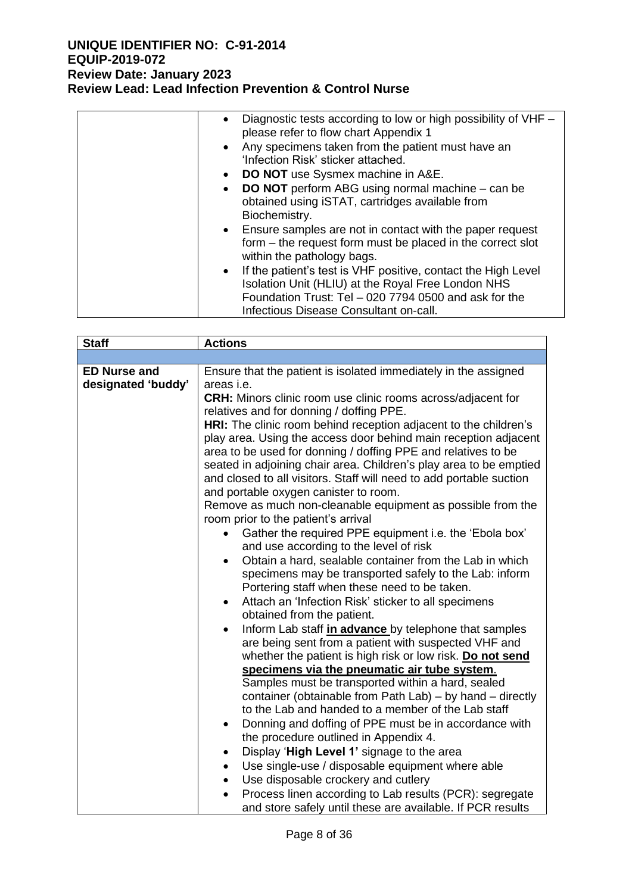| • Diagnostic tests according to low or high possibility of VHF –<br>please refer to flow chart Appendix 1<br>Any specimens taken from the patient must have an<br>$\bullet$    |
|--------------------------------------------------------------------------------------------------------------------------------------------------------------------------------|
| 'Infection Risk' sticker attached.                                                                                                                                             |
| • DO NOT use Sysmex machine in A&E.                                                                                                                                            |
| • DO NOT perform ABG using normal machine - can be<br>obtained using iSTAT, cartridges available from<br>Biochemistry.                                                         |
| • Ensure samples are not in contact with the paper request<br>form – the request form must be placed in the correct slot<br>within the pathology bags.                         |
| • If the patient's test is VHF positive, contact the High Level<br>Isolation Unit (HLIU) at the Royal Free London NHS<br>Foundation Trust: Tel - 020 7794 0500 and ask for the |
| Infectious Disease Consultant on-call.                                                                                                                                         |

| <b>Staff</b>                              | <b>Actions</b>                                                                                                                                                                                                                                                                                                                                                                                                                                                                                                                                                                                                                                                                                                                                                                                                                                                                                                                                                                                                                                                                                                                                                                                                                                                                                                                                                                                                                                                                                     |
|-------------------------------------------|----------------------------------------------------------------------------------------------------------------------------------------------------------------------------------------------------------------------------------------------------------------------------------------------------------------------------------------------------------------------------------------------------------------------------------------------------------------------------------------------------------------------------------------------------------------------------------------------------------------------------------------------------------------------------------------------------------------------------------------------------------------------------------------------------------------------------------------------------------------------------------------------------------------------------------------------------------------------------------------------------------------------------------------------------------------------------------------------------------------------------------------------------------------------------------------------------------------------------------------------------------------------------------------------------------------------------------------------------------------------------------------------------------------------------------------------------------------------------------------------------|
|                                           |                                                                                                                                                                                                                                                                                                                                                                                                                                                                                                                                                                                                                                                                                                                                                                                                                                                                                                                                                                                                                                                                                                                                                                                                                                                                                                                                                                                                                                                                                                    |
| <b>ED Nurse and</b><br>designated 'buddy' | Ensure that the patient is isolated immediately in the assigned<br>areas i.e.<br><b>CRH:</b> Minors clinic room use clinic rooms across/adjacent for<br>relatives and for donning / doffing PPE.<br>HRI: The clinic room behind reception adjacent to the children's<br>play area. Using the access door behind main reception adjacent<br>area to be used for donning / doffing PPE and relatives to be<br>seated in adjoining chair area. Children's play area to be emptied<br>and closed to all visitors. Staff will need to add portable suction<br>and portable oxygen canister to room.<br>Remove as much non-cleanable equipment as possible from the<br>room prior to the patient's arrival<br>Gather the required PPE equipment i.e. the 'Ebola box'<br>and use according to the level of risk<br>Obtain a hard, sealable container from the Lab in which<br>$\bullet$<br>specimens may be transported safely to the Lab: inform<br>Portering staff when these need to be taken.<br>Attach an 'Infection Risk' sticker to all specimens<br>obtained from the patient.<br>Inform Lab staff in advance by telephone that samples<br>$\bullet$<br>are being sent from a patient with suspected VHF and<br>whether the patient is high risk or low risk. Do not send<br>specimens via the pneumatic air tube system.<br>Samples must be transported within a hard, sealed<br>container (obtainable from Path Lab) - by hand - directly<br>to the Lab and handed to a member of the Lab staff |
|                                           | Donning and doffing of PPE must be in accordance with<br>$\bullet$<br>the procedure outlined in Appendix 4.<br>Display 'High Level 1' signage to the area<br>٠<br>Use single-use / disposable equipment where able<br>$\bullet$<br>Use disposable crockery and cutlery<br>$\bullet$<br>Process linen according to Lab results (PCR): segregate                                                                                                                                                                                                                                                                                                                                                                                                                                                                                                                                                                                                                                                                                                                                                                                                                                                                                                                                                                                                                                                                                                                                                     |
|                                           | and store safely until these are available. If PCR results                                                                                                                                                                                                                                                                                                                                                                                                                                                                                                                                                                                                                                                                                                                                                                                                                                                                                                                                                                                                                                                                                                                                                                                                                                                                                                                                                                                                                                         |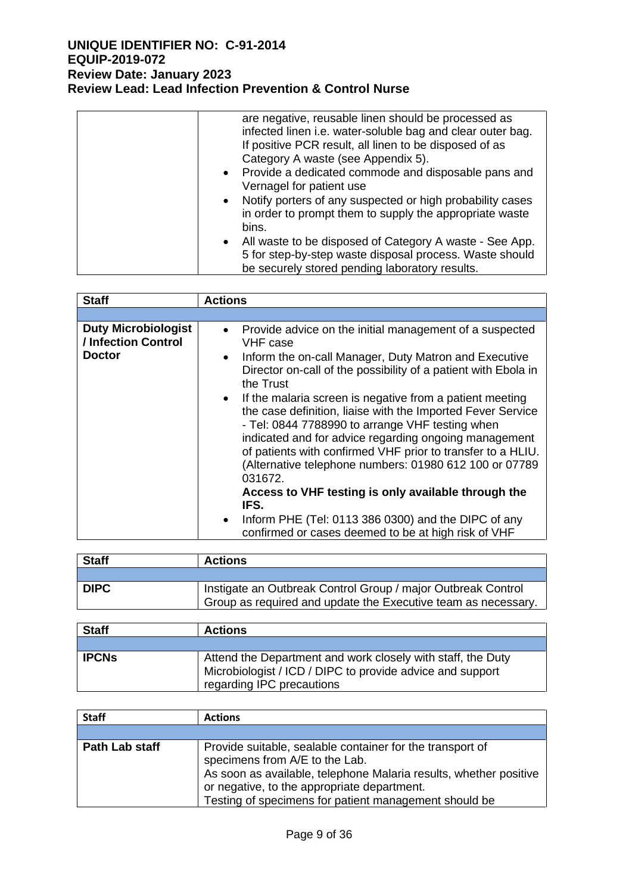| are negative, reusable linen should be processed as<br>infected linen i.e. water-soluble bag and clear outer bag.<br>If positive PCR result, all linen to be disposed of as<br>Category A waste (see Appendix 5).<br>Provide a dedicated commode and disposable pans and<br>$\bullet$ |
|---------------------------------------------------------------------------------------------------------------------------------------------------------------------------------------------------------------------------------------------------------------------------------------|
| Vernagel for patient use                                                                                                                                                                                                                                                              |
| Notify porters of any suspected or high probability cases<br>$\bullet$<br>in order to prompt them to supply the appropriate waste<br>bins.                                                                                                                                            |
| All waste to be disposed of Category A waste - See App.<br>$\bullet$<br>5 for step-by-step waste disposal process. Waste should<br>be securely stored pending laboratory results.                                                                                                     |

| <b>Staff</b>                                                       | <b>Actions</b>                                                                                                                                                                                                                                                                                                                                                                                                                                                                                                                                                                                                     |
|--------------------------------------------------------------------|--------------------------------------------------------------------------------------------------------------------------------------------------------------------------------------------------------------------------------------------------------------------------------------------------------------------------------------------------------------------------------------------------------------------------------------------------------------------------------------------------------------------------------------------------------------------------------------------------------------------|
|                                                                    |                                                                                                                                                                                                                                                                                                                                                                                                                                                                                                                                                                                                                    |
| <b>Duty Microbiologist</b><br>/ Infection Control<br><b>Doctor</b> | Provide advice on the initial management of a suspected<br>$\bullet$<br>VHF case<br>Inform the on-call Manager, Duty Matron and Executive<br>$\bullet$<br>Director on-call of the possibility of a patient with Ebola in<br>the Trust<br>If the malaria screen is negative from a patient meeting<br>$\bullet$<br>the case definition, liaise with the Imported Fever Service<br>- Tel: 0844 7788990 to arrange VHF testing when<br>indicated and for advice regarding ongoing management<br>of patients with confirmed VHF prior to transfer to a HLIU.<br>(Alternative telephone numbers: 01980 612 100 or 07789 |
|                                                                    | 031672.<br>Access to VHF testing is only available through the<br>IFS.<br>Inform PHE (Tel: 0113 386 0300) and the DIPC of any<br>$\bullet$<br>confirmed or cases deemed to be at high risk of VHF                                                                                                                                                                                                                                                                                                                                                                                                                  |

| <b>Staff</b> | <b>Actions</b>                                                |  |
|--------------|---------------------------------------------------------------|--|
|              |                                                               |  |
| <b>DIPC</b>  | Instigate an Outbreak Control Group / major Outbreak Control  |  |
|              | Group as required and update the Executive team as necessary. |  |

| <b>Staff</b> | <b>Actions</b>                                                                                                                                        |
|--------------|-------------------------------------------------------------------------------------------------------------------------------------------------------|
|              |                                                                                                                                                       |
| <b>IPCNs</b> | Attend the Department and work closely with staff, the Duty<br>Microbiologist / ICD / DIPC to provide advice and support<br>regarding IPC precautions |

| <b>Staff</b>   | <b>Actions</b>                                                                                                                                                                                                                                                           |
|----------------|--------------------------------------------------------------------------------------------------------------------------------------------------------------------------------------------------------------------------------------------------------------------------|
|                |                                                                                                                                                                                                                                                                          |
| Path Lab staff | Provide suitable, sealable container for the transport of<br>specimens from A/E to the Lab.<br>As soon as available, telephone Malaria results, whether positive<br>or negative, to the appropriate department.<br>Testing of specimens for patient management should be |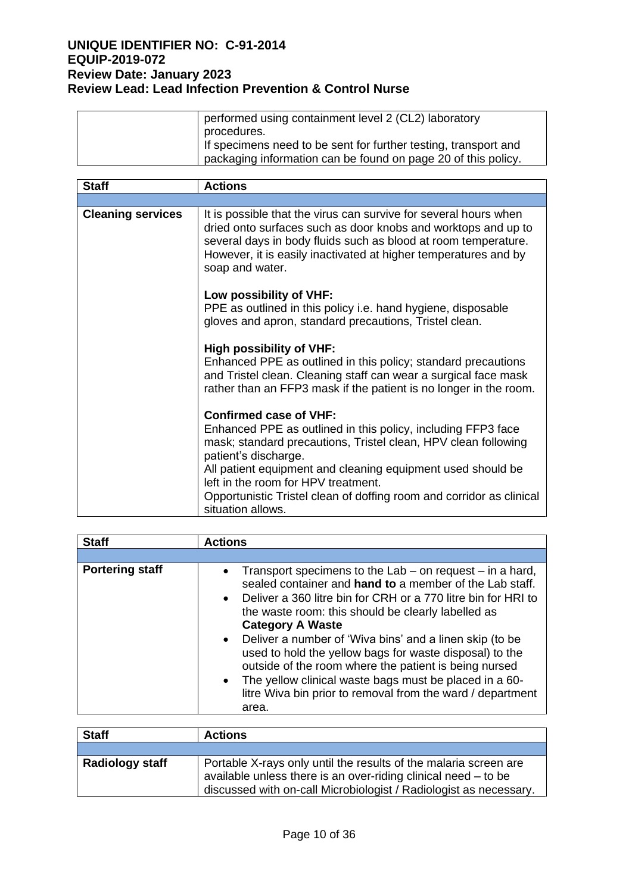| performed using containment level 2 (CL2) laboratory                           |
|--------------------------------------------------------------------------------|
| procedures.<br>If specimens need to be sent for further testing, transport and |
| packaging information can be found on page 20 of this policy.                  |

| <b>Staff</b>             | <b>Actions</b>                                                                                                                                                                                                                                                                            |
|--------------------------|-------------------------------------------------------------------------------------------------------------------------------------------------------------------------------------------------------------------------------------------------------------------------------------------|
|                          |                                                                                                                                                                                                                                                                                           |
| <b>Cleaning services</b> | It is possible that the virus can survive for several hours when<br>dried onto surfaces such as door knobs and worktops and up to<br>several days in body fluids such as blood at room temperature.<br>However, it is easily inactivated at higher temperatures and by<br>soap and water. |
|                          | Low possibility of VHF:<br>PPE as outlined in this policy i.e. hand hygiene, disposable<br>gloves and apron, standard precautions, Tristel clean.                                                                                                                                         |
|                          | <b>High possibility of VHF:</b><br>Enhanced PPE as outlined in this policy; standard precautions<br>and Tristel clean. Cleaning staff can wear a surgical face mask<br>rather than an FFP3 mask if the patient is no longer in the room.                                                  |
|                          | <b>Confirmed case of VHF:</b>                                                                                                                                                                                                                                                             |
|                          | Enhanced PPE as outlined in this policy, including FFP3 face<br>mask; standard precautions, Tristel clean, HPV clean following<br>patient's discharge.                                                                                                                                    |
|                          | All patient equipment and cleaning equipment used should be<br>left in the room for HPV treatment.                                                                                                                                                                                        |
|                          | Opportunistic Tristel clean of doffing room and corridor as clinical<br>situation allows.                                                                                                                                                                                                 |

| <b>Staff</b>           | <b>Actions</b>                                                                                                                                                                                                                                                                                                                                                                                                                                                                                                                                                                                                      |  |  |
|------------------------|---------------------------------------------------------------------------------------------------------------------------------------------------------------------------------------------------------------------------------------------------------------------------------------------------------------------------------------------------------------------------------------------------------------------------------------------------------------------------------------------------------------------------------------------------------------------------------------------------------------------|--|--|
|                        |                                                                                                                                                                                                                                                                                                                                                                                                                                                                                                                                                                                                                     |  |  |
| <b>Portering staff</b> | • Transport specimens to the Lab $-$ on request $-$ in a hard,<br>sealed container and <b>hand to</b> a member of the Lab staff.<br>Deliver a 360 litre bin for CRH or a 770 litre bin for HRI to<br>$\bullet$<br>the waste room: this should be clearly labelled as<br><b>Category A Waste</b><br>• Deliver a number of 'Wiva bins' and a linen skip (to be<br>used to hold the yellow bags for waste disposal) to the<br>outside of the room where the patient is being nursed<br>• The yellow clinical waste bags must be placed in a 60-<br>litre Wiva bin prior to removal from the ward / department<br>area. |  |  |

| <b>Staff</b>    | <b>Actions</b>                                                                                                                                                                                          |
|-----------------|---------------------------------------------------------------------------------------------------------------------------------------------------------------------------------------------------------|
|                 |                                                                                                                                                                                                         |
| Radiology staff | Portable X-rays only until the results of the malaria screen are<br>available unless there is an over-riding clinical need – to be<br>discussed with on-call Microbiologist / Radiologist as necessary. |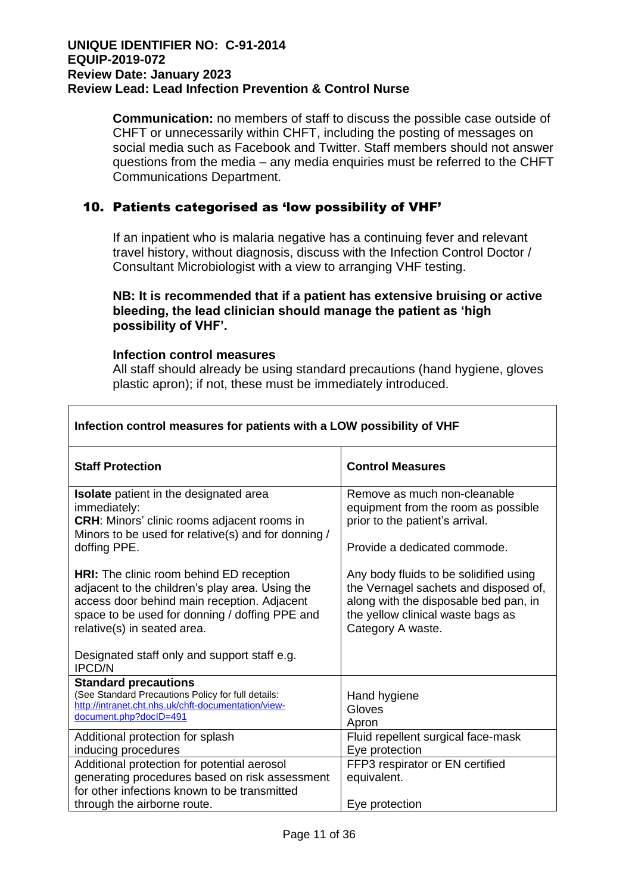**Communication:** no members of staff to discuss the possible case outside of CHFT or unnecessarily within CHFT, including the posting of messages on social media such as Facebook and Twitter. Staff members should not answer questions from the media – any media enquiries must be referred to the CHFT Communications Department.

# 10. Patients categorised as 'low possibility of VHF'

If an inpatient who is malaria negative has a continuing fever and relevant travel history, without diagnosis, discuss with the Infection Control Doctor / Consultant Microbiologist with a view to arranging VHF testing.

#### **NB: It is recommended that if a patient has extensive bruising or active bleeding, the lead clinician should manage the patient as 'high possibility of VHF'.**

#### **Infection control measures**

All staff should already be using standard precautions (hand hygiene, gloves plastic apron); if not, these must be immediately introduced.

| Infection control measures for patients with a LOW possibility of VHF                                                                                                                                                                                                              |                                                                                                                                                                                    |  |  |
|------------------------------------------------------------------------------------------------------------------------------------------------------------------------------------------------------------------------------------------------------------------------------------|------------------------------------------------------------------------------------------------------------------------------------------------------------------------------------|--|--|
| <b>Staff Protection</b>                                                                                                                                                                                                                                                            | <b>Control Measures</b>                                                                                                                                                            |  |  |
| <b>Isolate</b> patient in the designated area<br>immediately:<br><b>CRH:</b> Minors' clinic rooms adjacent rooms in<br>Minors to be used for relative(s) and for donning /<br>doffing PPE.                                                                                         | Remove as much non-cleanable<br>equipment from the room as possible<br>prior to the patient's arrival.<br>Provide a dedicated commode.                                             |  |  |
| <b>HRI:</b> The clinic room behind ED reception<br>adjacent to the children's play area. Using the<br>access door behind main reception. Adjacent<br>space to be used for donning / doffing PPE and<br>relative(s) in seated area.<br>Designated staff only and support staff e.g. | Any body fluids to be solidified using<br>the Vernagel sachets and disposed of,<br>along with the disposable bed pan, in<br>the yellow clinical waste bags as<br>Category A waste. |  |  |
| <b>IPCD/N</b><br><b>Standard precautions</b>                                                                                                                                                                                                                                       |                                                                                                                                                                                    |  |  |
| (See Standard Precautions Policy for full details:<br>http://intranet.cht.nhs.uk/chft-documentation/view-<br>document.php?docID=491                                                                                                                                                | Hand hygiene<br>Gloves<br>Apron                                                                                                                                                    |  |  |
| Additional protection for splash<br>inducing procedures                                                                                                                                                                                                                            | Fluid repellent surgical face-mask<br>Eye protection                                                                                                                               |  |  |
| Additional protection for potential aerosol<br>generating procedures based on risk assessment<br>for other infections known to be transmitted                                                                                                                                      | FFP3 respirator or EN certified<br>equivalent.                                                                                                                                     |  |  |
| through the airborne route.                                                                                                                                                                                                                                                        | Eye protection                                                                                                                                                                     |  |  |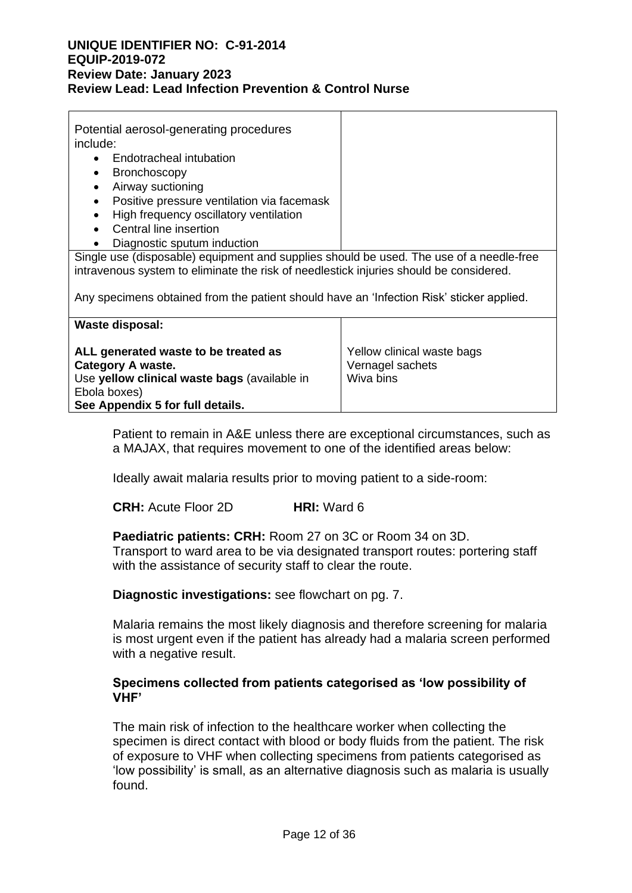| Potential aerosol-generating procedures<br>include:<br>Endotracheal intubation<br>Bronchoscopy<br>Airway suctioning<br>Positive pressure ventilation via facemask<br>$\bullet$<br>High frequency oscillatory ventilation<br>Central line insertion |  |
|----------------------------------------------------------------------------------------------------------------------------------------------------------------------------------------------------------------------------------------------------|--|
| Diagnostic sputum induction                                                                                                                                                                                                                        |  |
| Single use (disposable) equipment and supplies should be used. The use of a needle-free<br>intravenous system to eliminate the risk of needlestick injuries should be considered.                                                                  |  |

Any specimens obtained from the patient should have an 'Infection Risk' sticker applied.

| <b>Waste disposal:</b>                                                                                                                                               |                                                             |
|----------------------------------------------------------------------------------------------------------------------------------------------------------------------|-------------------------------------------------------------|
| ALL generated waste to be treated as<br><b>Category A waste.</b><br>Use yellow clinical waste bags (available in<br>Ebola boxes)<br>See Appendix 5 for full details. | Yellow clinical waste bags<br>Vernagel sachets<br>Wiva bins |

Patient to remain in A&E unless there are exceptional circumstances, such as a MAJAX, that requires movement to one of the identified areas below:

Ideally await malaria results prior to moving patient to a side-room:

**CRH:** Acute Floor 2D **HRI:** Ward 6

**Paediatric patients: CRH:** Room 27 on 3C or Room 34 on 3D. Transport to ward area to be via designated transport routes: portering staff with the assistance of security staff to clear the route.

**Diagnostic investigations:** see flowchart on pg. 7.

Malaria remains the most likely diagnosis and therefore screening for malaria is most urgent even if the patient has already had a malaria screen performed with a negative result.

#### **Specimens collected from patients categorised as 'low possibility of VHF'**

The main risk of infection to the healthcare worker when collecting the specimen is direct contact with blood or body fluids from the patient. The risk of exposure to VHF when collecting specimens from patients categorised as 'low possibility' is small, as an alternative diagnosis such as malaria is usually found.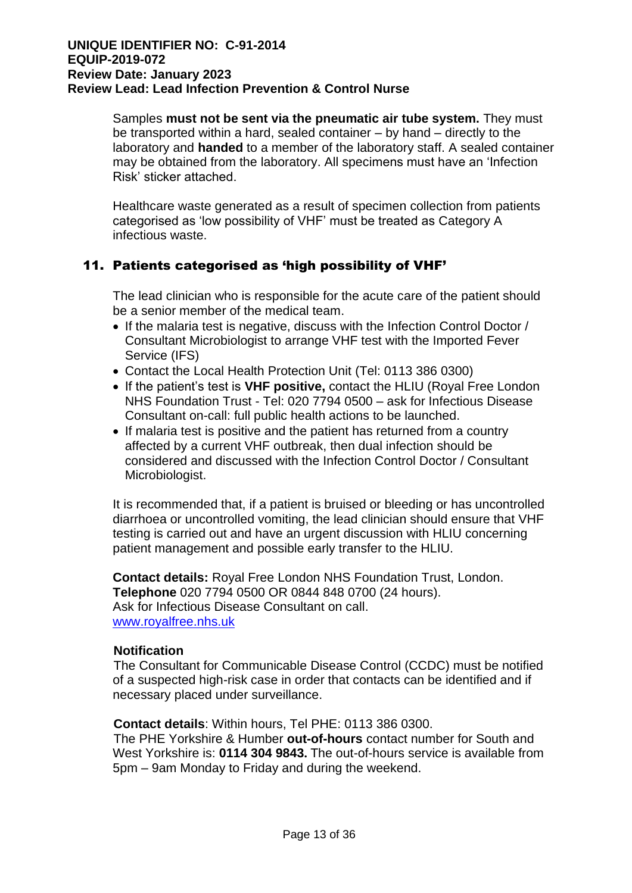Samples **must not be sent via the pneumatic air tube system.** They must be transported within a hard, sealed container – by hand – directly to the laboratory and **handed** to a member of the laboratory staff. A sealed container may be obtained from the laboratory. All specimens must have an 'Infection Risk' sticker attached.

Healthcare waste generated as a result of specimen collection from patients categorised as 'low possibility of VHF' must be treated as Category A infectious waste.

# 11. Patients categorised as 'high possibility of VHF'

The lead clinician who is responsible for the acute care of the patient should be a senior member of the medical team.

- If the malaria test is negative, discuss with the Infection Control Doctor / Consultant Microbiologist to arrange VHF test with the Imported Fever Service (IFS)
- Contact the Local Health Protection Unit (Tel: 0113 386 0300)
- If the patient's test is **VHF positive,** contact the HLIU (Royal Free London NHS Foundation Trust - Tel: 020 7794 0500 – ask for Infectious Disease Consultant on-call: full public health actions to be launched.
- If malaria test is positive and the patient has returned from a country affected by a current VHF outbreak, then dual infection should be considered and discussed with the Infection Control Doctor / Consultant Microbiologist.

It is recommended that, if a patient is bruised or bleeding or has uncontrolled diarrhoea or uncontrolled vomiting, the lead clinician should ensure that VHF testing is carried out and have an urgent discussion with HLIU concerning patient management and possible early transfer to the HLIU.

**Contact details:** Royal Free London NHS Foundation Trust, London. **Telephone** 020 7794 0500 OR 0844 848 0700 (24 hours). Ask for Infectious Disease Consultant on call. [www.royalfree.nhs.uk](http://www.royalfree.nhs.uk/)

#### **Notification**

The Consultant for Communicable Disease Control (CCDC) must be notified of a suspected high-risk case in order that contacts can be identified and if necessary placed under surveillance.

**Contact details**: Within hours, Tel PHE: 0113 386 0300.

The PHE Yorkshire & Humber **out-of-hours** contact number for South and West Yorkshire is: **0114 304 9843.** The out-of-hours service is available from 5pm – 9am Monday to Friday and during the weekend.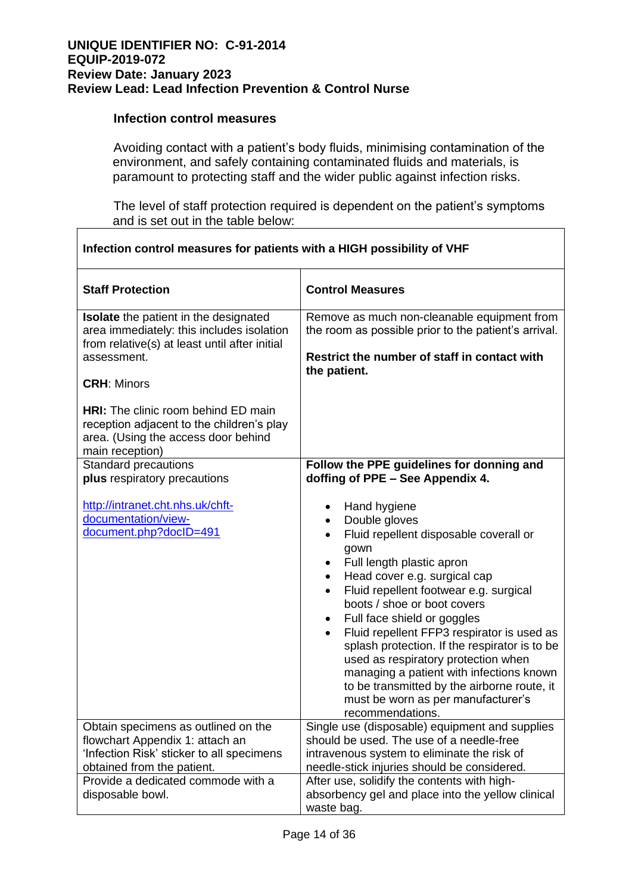#### **Infection control measures**

Avoiding contact with a patient's body fluids, minimising contamination of the environment, and safely containing contaminated fluids and materials, is paramount to protecting staff and the wider public against infection risks.

The level of staff protection required is dependent on the patient's symptoms and is set out in the table below:

| Infection control measures for patients with a HIGH possibility of VHF                                                                                                   |                                                                                                                                                                                                                                                                                                                                                                                                                                                                                                                                                                                                                                    |  |
|--------------------------------------------------------------------------------------------------------------------------------------------------------------------------|------------------------------------------------------------------------------------------------------------------------------------------------------------------------------------------------------------------------------------------------------------------------------------------------------------------------------------------------------------------------------------------------------------------------------------------------------------------------------------------------------------------------------------------------------------------------------------------------------------------------------------|--|
| <b>Staff Protection</b>                                                                                                                                                  | <b>Control Measures</b>                                                                                                                                                                                                                                                                                                                                                                                                                                                                                                                                                                                                            |  |
| Isolate the patient in the designated<br>area immediately: this includes isolation<br>from relative(s) at least until after initial<br>assessment.<br><b>CRH: Minors</b> | Remove as much non-cleanable equipment from<br>the room as possible prior to the patient's arrival.<br>Restrict the number of staff in contact with<br>the patient.                                                                                                                                                                                                                                                                                                                                                                                                                                                                |  |
| <b>HRI:</b> The clinic room behind ED main<br>reception adjacent to the children's play<br>area. (Using the access door behind<br>main reception)                        |                                                                                                                                                                                                                                                                                                                                                                                                                                                                                                                                                                                                                                    |  |
| <b>Standard precautions</b><br>plus respiratory precautions                                                                                                              | Follow the PPE guidelines for donning and<br>doffing of PPE - See Appendix 4.                                                                                                                                                                                                                                                                                                                                                                                                                                                                                                                                                      |  |
| http://intranet.cht.nhs.uk/chft-<br>documentation/view-<br>document.php?docID=491                                                                                        | Hand hygiene<br>Double gloves<br>$\bullet$<br>Fluid repellent disposable coverall or<br>$\bullet$<br>gown<br>Full length plastic apron<br>٠<br>Head cover e.g. surgical cap<br>$\bullet$<br>Fluid repellent footwear e.g. surgical<br>$\bullet$<br>boots / shoe or boot covers<br>Full face shield or goggles<br>$\bullet$<br>Fluid repellent FFP3 respirator is used as<br>$\bullet$<br>splash protection. If the respirator is to be<br>used as respiratory protection when<br>managing a patient with infections known<br>to be transmitted by the airborne route, it<br>must be worn as per manufacturer's<br>recommendations. |  |
| Obtain specimens as outlined on the<br>flowchart Appendix 1: attach an<br>'Infection Risk' sticker to all specimens<br>obtained from the patient.                        | Single use (disposable) equipment and supplies<br>should be used. The use of a needle-free<br>intravenous system to eliminate the risk of<br>needle-stick injuries should be considered.                                                                                                                                                                                                                                                                                                                                                                                                                                           |  |
| Provide a dedicated commode with a<br>disposable bowl.                                                                                                                   | After use, solidify the contents with high-<br>absorbency gel and place into the yellow clinical<br>waste bag.                                                                                                                                                                                                                                                                                                                                                                                                                                                                                                                     |  |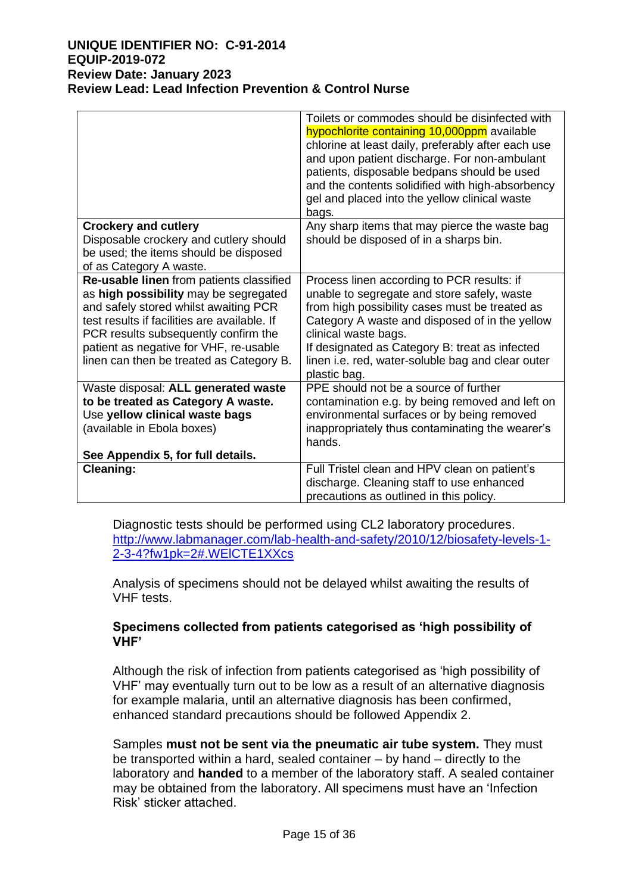|                                                                                                                                                                                                                                                                                                          | Toilets or commodes should be disinfected with<br>hypochlorite containing 10,000ppm available<br>chlorine at least daily, preferably after each use<br>and upon patient discharge. For non-ambulant<br>patients, disposable bedpans should be used<br>and the contents solidified with high-absorbency<br>gel and placed into the yellow clinical waste<br>bags. |
|----------------------------------------------------------------------------------------------------------------------------------------------------------------------------------------------------------------------------------------------------------------------------------------------------------|------------------------------------------------------------------------------------------------------------------------------------------------------------------------------------------------------------------------------------------------------------------------------------------------------------------------------------------------------------------|
| <b>Crockery and cutlery</b><br>Disposable crockery and cutlery should                                                                                                                                                                                                                                    | Any sharp items that may pierce the waste bag<br>should be disposed of in a sharps bin.                                                                                                                                                                                                                                                                          |
| be used; the items should be disposed                                                                                                                                                                                                                                                                    |                                                                                                                                                                                                                                                                                                                                                                  |
| of as Category A waste.                                                                                                                                                                                                                                                                                  |                                                                                                                                                                                                                                                                                                                                                                  |
| Re-usable linen from patients classified<br>as high possibility may be segregated<br>and safely stored whilst awaiting PCR<br>test results if facilities are available. If<br>PCR results subsequently confirm the<br>patient as negative for VHF, re-usable<br>linen can then be treated as Category B. | Process linen according to PCR results: if<br>unable to segregate and store safely, waste<br>from high possibility cases must be treated as<br>Category A waste and disposed of in the yellow<br>clinical waste bags.<br>If designated as Category B: treat as infected<br>linen i.e. red, water-soluble bag and clear outer<br>plastic bag.                     |
| Waste disposal: ALL generated waste                                                                                                                                                                                                                                                                      | PPE should not be a source of further                                                                                                                                                                                                                                                                                                                            |
| to be treated as Category A waste.<br>Use yellow clinical waste bags                                                                                                                                                                                                                                     | contamination e.g. by being removed and left on<br>environmental surfaces or by being removed                                                                                                                                                                                                                                                                    |
| (available in Ebola boxes)                                                                                                                                                                                                                                                                               | inappropriately thus contaminating the wearer's                                                                                                                                                                                                                                                                                                                  |
|                                                                                                                                                                                                                                                                                                          | hands.                                                                                                                                                                                                                                                                                                                                                           |
| See Appendix 5, for full details.                                                                                                                                                                                                                                                                        |                                                                                                                                                                                                                                                                                                                                                                  |
| Cleaning:                                                                                                                                                                                                                                                                                                | Full Tristel clean and HPV clean on patient's                                                                                                                                                                                                                                                                                                                    |
|                                                                                                                                                                                                                                                                                                          | discharge. Cleaning staff to use enhanced                                                                                                                                                                                                                                                                                                                        |
|                                                                                                                                                                                                                                                                                                          | precautions as outlined in this policy.                                                                                                                                                                                                                                                                                                                          |

Diagnostic tests should be performed using CL2 laboratory procedures. [http://www.labmanager.com/lab-health-and-safety/2010/12/biosafety-levels-1-](http://www.labmanager.com/lab-health-and-safety/2010/12/biosafety-levels-1-2-3-4?fw1pk=2#.WElCTE1XXcs) [2-3-4?fw1pk=2#.WElCTE1XXcs](http://www.labmanager.com/lab-health-and-safety/2010/12/biosafety-levels-1-2-3-4?fw1pk=2#.WElCTE1XXcs)

Analysis of specimens should not be delayed whilst awaiting the results of VHF tests.

## **Specimens collected from patients categorised as 'high possibility of VHF'**

Although the risk of infection from patients categorised as 'high possibility of VHF' may eventually turn out to be low as a result of an alternative diagnosis for example malaria, until an alternative diagnosis has been confirmed, enhanced standard precautions should be followed Appendix 2.

Samples **must not be sent via the pneumatic air tube system.** They must be transported within a hard, sealed container – by hand – directly to the laboratory and **handed** to a member of the laboratory staff. A sealed container may be obtained from the laboratory. All specimens must have an 'Infection Risk' sticker attached.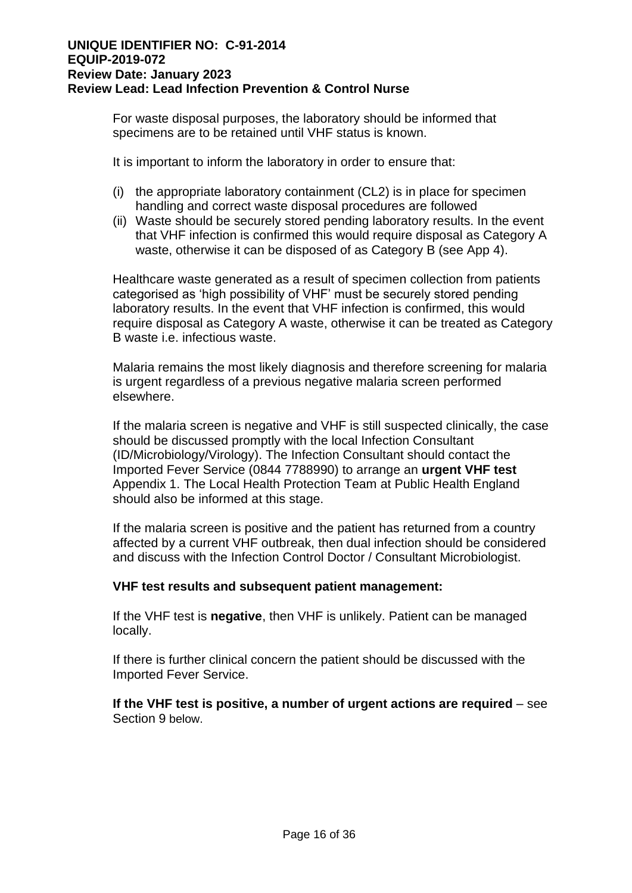For waste disposal purposes, the laboratory should be informed that specimens are to be retained until VHF status is known.

It is important to inform the laboratory in order to ensure that:

- (i) the appropriate laboratory containment (CL2) is in place for specimen handling and correct waste disposal procedures are followed
- (ii) Waste should be securely stored pending laboratory results. In the event that VHF infection is confirmed this would require disposal as Category A waste, otherwise it can be disposed of as Category B (see App 4).

Healthcare waste generated as a result of specimen collection from patients categorised as 'high possibility of VHF' must be securely stored pending laboratory results. In the event that VHF infection is confirmed, this would require disposal as Category A waste, otherwise it can be treated as Category B waste i.e. infectious waste.

Malaria remains the most likely diagnosis and therefore screening for malaria is urgent regardless of a previous negative malaria screen performed elsewhere.

If the malaria screen is negative and VHF is still suspected clinically, the case should be discussed promptly with the local Infection Consultant (ID/Microbiology/Virology). The Infection Consultant should contact the Imported Fever Service (0844 7788990) to arrange an **urgent VHF test**  Appendix 1. The Local Health Protection Team at Public Health England should also be informed at this stage.

If the malaria screen is positive and the patient has returned from a country affected by a current VHF outbreak, then dual infection should be considered and discuss with the Infection Control Doctor / Consultant Microbiologist.

#### **VHF test results and subsequent patient management:**

If the VHF test is **negative**, then VHF is unlikely. Patient can be managed locally.

If there is further clinical concern the patient should be discussed with the Imported Fever Service.

**If the VHF test is positive, a number of urgent actions are required** – see Section 9 below.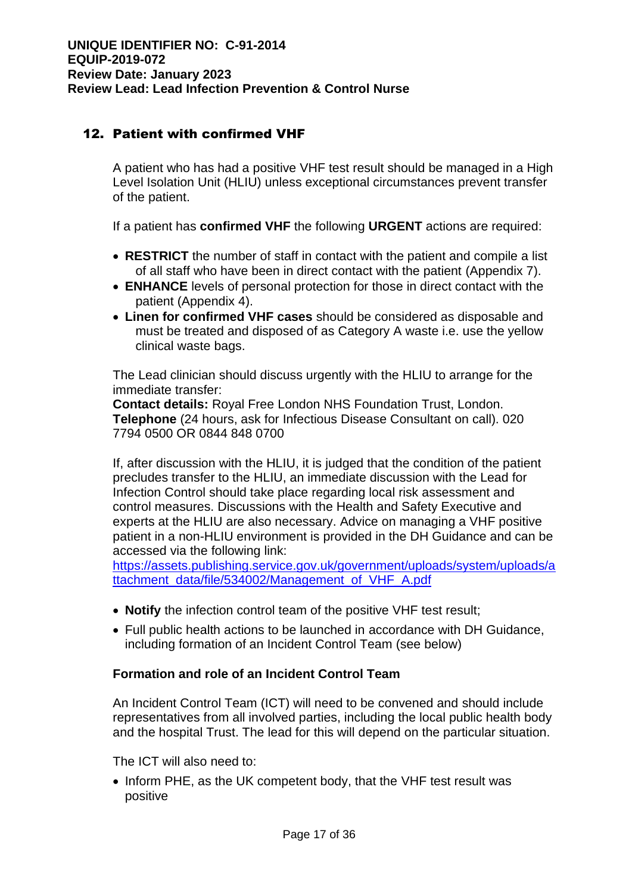# 12. Patient with confirmed VHF

A patient who has had a positive VHF test result should be managed in a High Level Isolation Unit (HLIU) unless exceptional circumstances prevent transfer of the patient.

If a patient has **confirmed VHF** the following **URGENT** actions are required:

- **RESTRICT** the number of staff in contact with the patient and compile a list of all staff who have been in direct contact with the patient (Appendix 7).
- **ENHANCE** levels of personal protection for those in direct contact with the patient (Appendix 4).
- **Linen for confirmed VHF cases** should be considered as disposable and must be treated and disposed of as Category A waste i.e. use the yellow clinical waste bags.

The Lead clinician should discuss urgently with the HLIU to arrange for the immediate transfer:

**Contact details:** Royal Free London NHS Foundation Trust, London. **Telephone** (24 hours, ask for Infectious Disease Consultant on call). 020 7794 0500 OR 0844 848 0700

If, after discussion with the HLIU, it is judged that the condition of the patient precludes transfer to the HLIU, an immediate discussion with the Lead for Infection Control should take place regarding local risk assessment and control measures. Discussions with the Health and Safety Executive and experts at the HLIU are also necessary. Advice on managing a VHF positive patient in a non-HLIU environment is provided in the DH Guidance and can be accessed via the following link:

[https://assets.publishing.service.gov.uk/government/uploads/system/uploads/a](https://assets.publishing.service.gov.uk/government/uploads/system/uploads/attachment_data/file/534002/Management_of_VHF_A.pdf) [ttachment\\_data/file/534002/Management\\_of\\_VHF\\_A.pdf](https://assets.publishing.service.gov.uk/government/uploads/system/uploads/attachment_data/file/534002/Management_of_VHF_A.pdf)

- **Notify** the infection control team of the positive VHF test result;
- Full public health actions to be launched in accordance with DH Guidance, including formation of an Incident Control Team (see below)

#### **Formation and role of an Incident Control Team**

An Incident Control Team (ICT) will need to be convened and should include representatives from all involved parties, including the local public health body and the hospital Trust. The lead for this will depend on the particular situation.

The ICT will also need to:

• Inform PHE, as the UK competent body, that the VHF test result was positive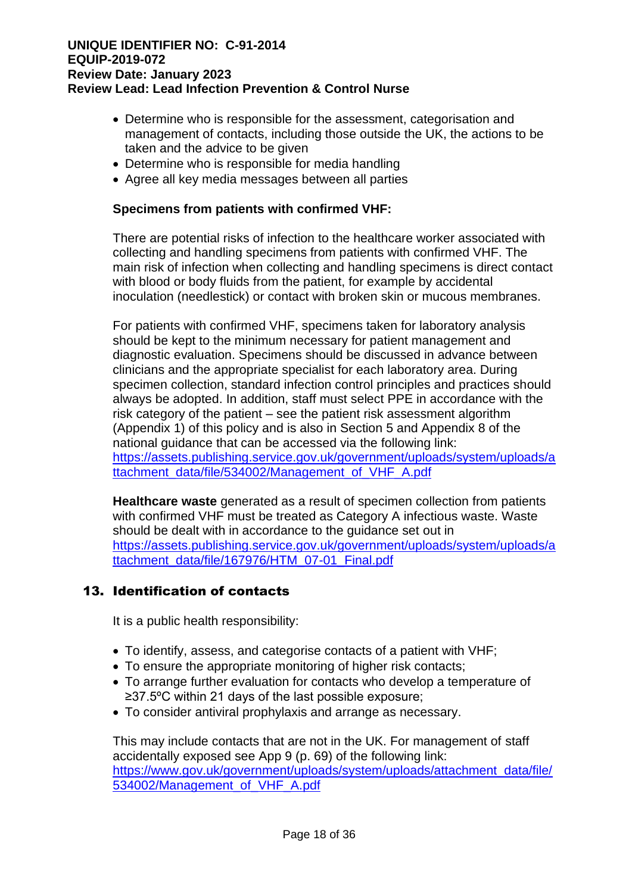- Determine who is responsible for the assessment, categorisation and management of contacts, including those outside the UK, the actions to be taken and the advice to be given
- Determine who is responsible for media handling
- Agree all key media messages between all parties

#### **Specimens from patients with confirmed VHF:**

There are potential risks of infection to the healthcare worker associated with collecting and handling specimens from patients with confirmed VHF. The main risk of infection when collecting and handling specimens is direct contact with blood or body fluids from the patient, for example by accidental inoculation (needlestick) or contact with broken skin or mucous membranes.

For patients with confirmed VHF, specimens taken for laboratory analysis should be kept to the minimum necessary for patient management and diagnostic evaluation. Specimens should be discussed in advance between clinicians and the appropriate specialist for each laboratory area. During specimen collection, standard infection control principles and practices should always be adopted. In addition, staff must select PPE in accordance with the risk category of the patient – see the patient risk assessment algorithm (Appendix 1) of this policy and is also in Section 5 and Appendix 8 of the national guidance that can be accessed via the following link: [https://assets.publishing.service.gov.uk/government/uploads/system/uploads/a](https://assets.publishing.service.gov.uk/government/uploads/system/uploads/attachment_data/file/534002/Management_of_VHF_A.pdf) [ttachment\\_data/file/534002/Management\\_of\\_VHF\\_A.pdf](https://assets.publishing.service.gov.uk/government/uploads/system/uploads/attachment_data/file/534002/Management_of_VHF_A.pdf)

**Healthcare waste** generated as a result of specimen collection from patients with confirmed VHF must be treated as Category A infectious waste. Waste should be dealt with in accordance to the guidance set out in [https://assets.publishing.service.gov.uk/government/uploads/system/uploads/a](https://assets.publishing.service.gov.uk/government/uploads/system/uploads/attachment_data/file/167976/HTM_07-01_Final.pdf) [ttachment\\_data/file/167976/HTM\\_07-01\\_Final.pdf](https://assets.publishing.service.gov.uk/government/uploads/system/uploads/attachment_data/file/167976/HTM_07-01_Final.pdf)

# 13. Identification of contacts

It is a public health responsibility:

- To identify, assess, and categorise contacts of a patient with VHF;
- To ensure the appropriate monitoring of higher risk contacts;
- To arrange further evaluation for contacts who develop a temperature of ≥37.5ºC within 21 days of the last possible exposure;
- To consider antiviral prophylaxis and arrange as necessary.

This may include contacts that are not in the UK. For management of staff accidentally exposed see App 9 (p. 69) of the following link: [https://www.gov.uk/government/uploads/system/uploads/attachment\\_data/file/](https://www.gov.uk/government/uploads/system/uploads/attachment_data/file/534002/Management_of_VHF_A.pdf) [534002/Management\\_of\\_VHF\\_A.pdf](https://www.gov.uk/government/uploads/system/uploads/attachment_data/file/534002/Management_of_VHF_A.pdf)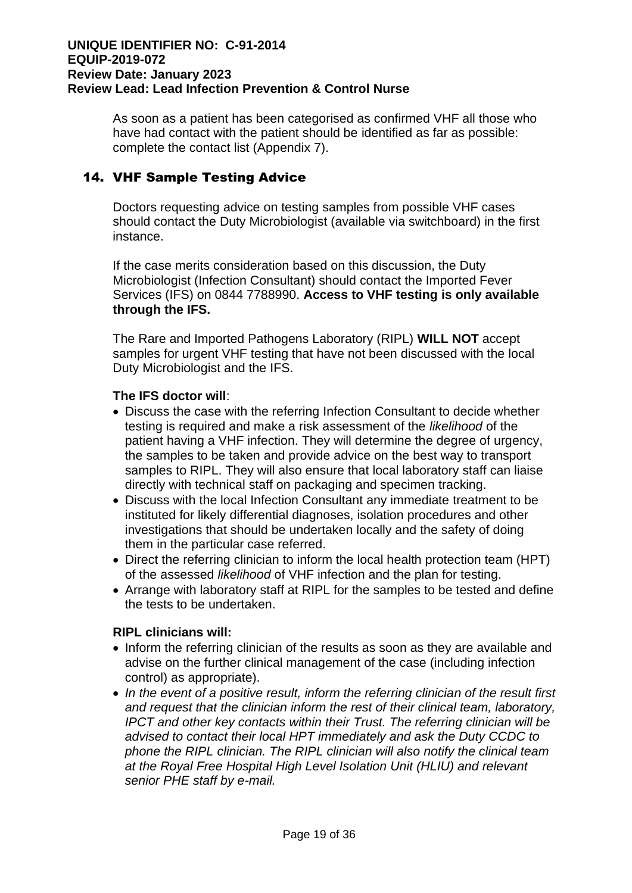As soon as a patient has been categorised as confirmed VHF all those who have had contact with the patient should be identified as far as possible: complete the contact list (Appendix 7).

# 14. VHF Sample Testing Advice

Doctors requesting advice on testing samples from possible VHF cases should contact the Duty Microbiologist (available via switchboard) in the first instance.

If the case merits consideration based on this discussion, the Duty Microbiologist (Infection Consultant) should contact the Imported Fever Services (IFS) on 0844 7788990. **Access to VHF testing is only available through the IFS.**

The Rare and Imported Pathogens Laboratory (RIPL) **WILL NOT** accept samples for urgent VHF testing that have not been discussed with the local Duty Microbiologist and the IFS.

## **The IFS doctor will**:

- Discuss the case with the referring Infection Consultant to decide whether testing is required and make a risk assessment of the *likelihood* of the patient having a VHF infection. They will determine the degree of urgency, the samples to be taken and provide advice on the best way to transport samples to RIPL. They will also ensure that local laboratory staff can liaise directly with technical staff on packaging and specimen tracking.
- Discuss with the local Infection Consultant any immediate treatment to be instituted for likely differential diagnoses, isolation procedures and other investigations that should be undertaken locally and the safety of doing them in the particular case referred.
- Direct the referring clinician to inform the local health protection team (HPT) of the assessed *likelihood* of VHF infection and the plan for testing.
- Arrange with laboratory staff at RIPL for the samples to be tested and define the tests to be undertaken.

# **RIPL clinicians will:**

- Inform the referring clinician of the results as soon as they are available and advise on the further clinical management of the case (including infection control) as appropriate).
- In the event of a positive result, inform the referring clinician of the result first *and request that the clinician inform the rest of their clinical team, laboratory, IPCT and other key contacts within their Trust. The referring clinician will be advised to contact their local HPT immediately and ask the Duty CCDC to phone the RIPL clinician. The RIPL clinician will also notify the clinical team at the Royal Free Hospital High Level Isolation Unit (HLIU) and relevant senior PHE staff by e-mail.*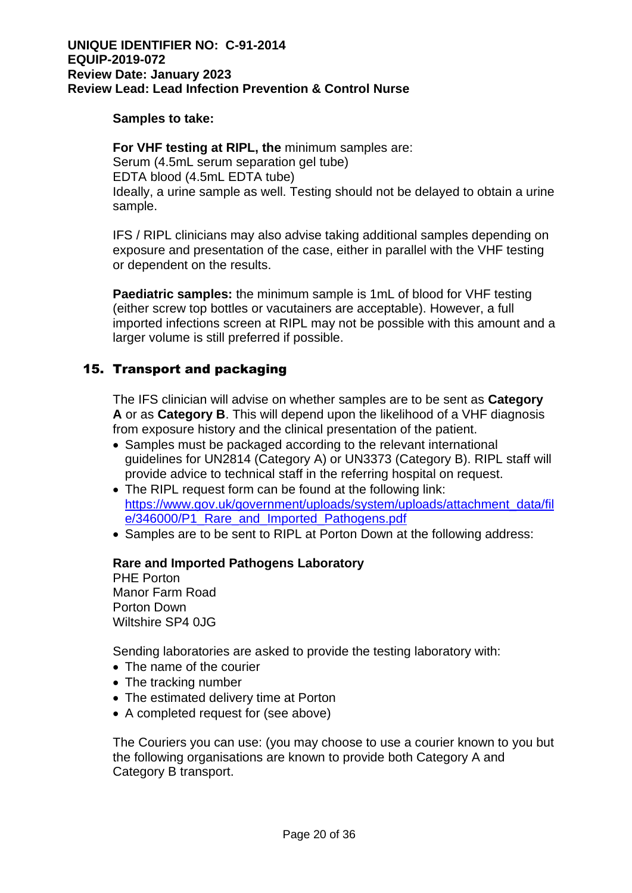#### **Samples to take:**

**For VHF testing at RIPL, the** minimum samples are: Serum (4.5mL serum separation gel tube) EDTA blood (4.5mL EDTA tube) Ideally, a urine sample as well. Testing should not be delayed to obtain a urine sample.

IFS / RIPL clinicians may also advise taking additional samples depending on exposure and presentation of the case, either in parallel with the VHF testing or dependent on the results.

**Paediatric samples:** the minimum sample is 1mL of blood for VHF testing (either screw top bottles or vacutainers are acceptable). However, a full imported infections screen at RIPL may not be possible with this amount and a larger volume is still preferred if possible.

# 15. Transport and packaging

The IFS clinician will advise on whether samples are to be sent as **Category A** or as **Category B**. This will depend upon the likelihood of a VHF diagnosis from exposure history and the clinical presentation of the patient.

- Samples must be packaged according to the relevant international guidelines for UN2814 (Category A) or UN3373 (Category B). RIPL staff will provide advice to technical staff in the referring hospital on request.
- The RIPL request form can be found at the following link: [https://www.gov.uk/government/uploads/system/uploads/attachment\\_data/fil](https://www.gov.uk/government/uploads/system/uploads/attachment_data/file/346000/P1_Rare_and_Imported_Pathogens.pdf) e/346000/P1 Rare and Imported Pathogens.pdf
- Samples are to be sent to RIPL at Porton Down at the following address:

#### **Rare and Imported Pathogens Laboratory**

PHE Porton Manor Farm Road Porton Down Wiltshire SP4 0JG

Sending laboratories are asked to provide the testing laboratory with:

- The name of the courier
- The tracking number
- The estimated delivery time at Porton
- A completed request for (see above)

The Couriers you can use: (you may choose to use a courier known to you but the following organisations are known to provide both Category A and Category B transport.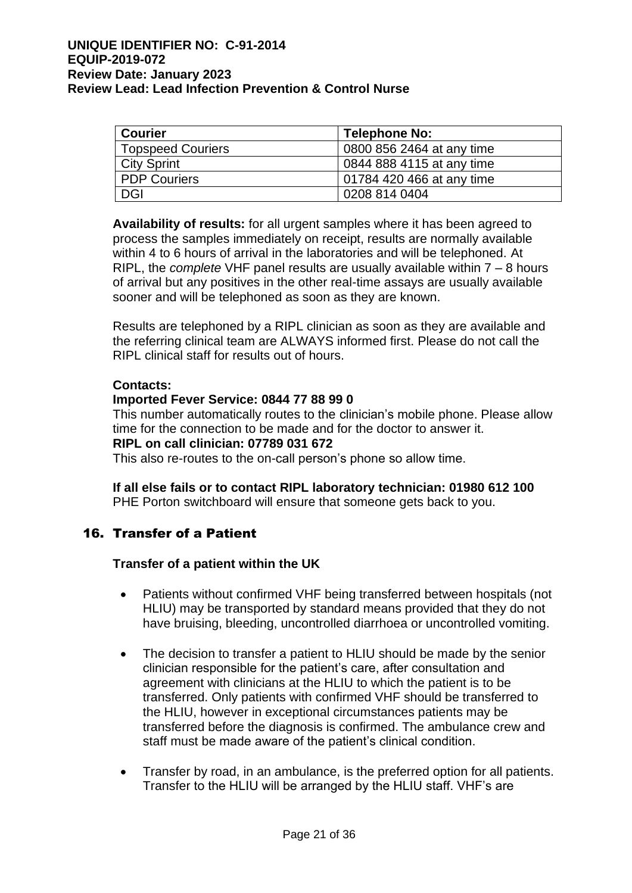| <b>Courier</b>           | Telephone No:             |
|--------------------------|---------------------------|
| <b>Topspeed Couriers</b> | 0800 856 2464 at any time |
| <b>City Sprint</b>       | 0844 888 4115 at any time |
| <b>PDP Couriers</b>      | 01784 420 466 at any time |
| DGI                      | 0208 814 0404             |

**Availability of results:** for all urgent samples where it has been agreed to process the samples immediately on receipt, results are normally available within 4 to 6 hours of arrival in the laboratories and will be telephoned. At RIPL, the *complete* VHF panel results are usually available within 7 – 8 hours of arrival but any positives in the other real-time assays are usually available sooner and will be telephoned as soon as they are known.

Results are telephoned by a RIPL clinician as soon as they are available and the referring clinical team are ALWAYS informed first. Please do not call the RIPL clinical staff for results out of hours.

#### **Contacts:**

#### **Imported Fever Service: 0844 77 88 99 0**

This number automatically routes to the clinician's mobile phone. Please allow time for the connection to be made and for the doctor to answer it.

# **RIPL on call clinician: 07789 031 672**

This also re-routes to the on-call person's phone so allow time.

**If all else fails or to contact RIPL laboratory technician: 01980 612 100** PHE Porton switchboard will ensure that someone gets back to you.

# 16. Transfer of a Patient

#### **Transfer of a patient within the UK**

- Patients without confirmed VHF being transferred between hospitals (not HLIU) may be transported by standard means provided that they do not have bruising, bleeding, uncontrolled diarrhoea or uncontrolled vomiting.
- The decision to transfer a patient to HLIU should be made by the senior clinician responsible for the patient's care, after consultation and agreement with clinicians at the HLIU to which the patient is to be transferred. Only patients with confirmed VHF should be transferred to the HLIU, however in exceptional circumstances patients may be transferred before the diagnosis is confirmed. The ambulance crew and staff must be made aware of the patient's clinical condition.
- Transfer by road, in an ambulance, is the preferred option for all patients. Transfer to the HLIU will be arranged by the HLIU staff. VHF's are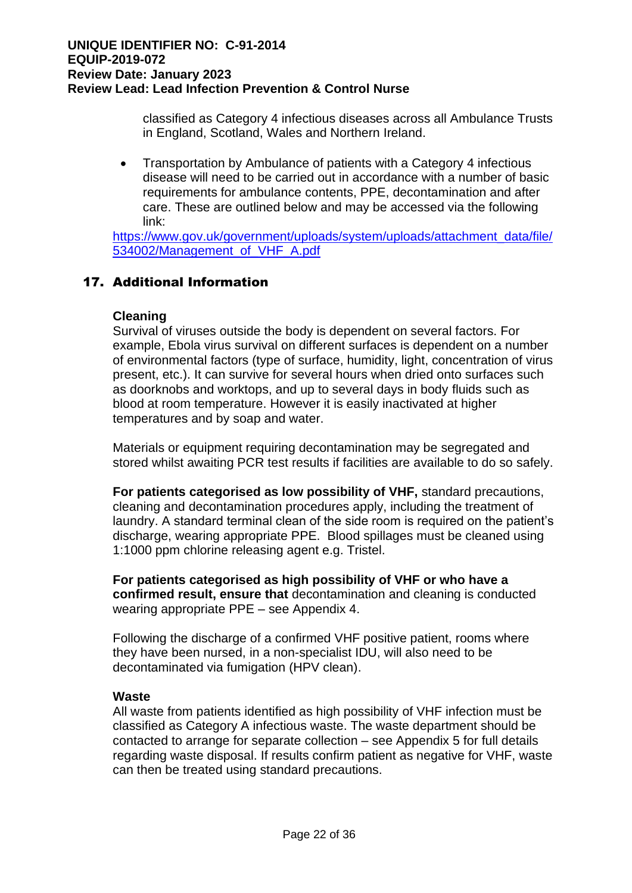classified as Category 4 infectious diseases across all Ambulance Trusts in England, Scotland, Wales and Northern Ireland.

• Transportation by Ambulance of patients with a Category 4 infectious disease will need to be carried out in accordance with a number of basic requirements for ambulance contents, PPE, decontamination and after care. These are outlined below and may be accessed via the following link:

[https://www.gov.uk/government/uploads/system/uploads/attachment\\_data/file/](https://www.gov.uk/government/uploads/system/uploads/attachment_data/file/534002/Management_of_VHF_A.pdf) [534002/Management\\_of\\_VHF\\_A.pdf](https://www.gov.uk/government/uploads/system/uploads/attachment_data/file/534002/Management_of_VHF_A.pdf)

# 17. Additional Information

#### **Cleaning**

Survival of viruses outside the body is dependent on several factors. For example, Ebola virus survival on different surfaces is dependent on a number of environmental factors (type of surface, humidity, light, concentration of virus present, etc.). It can survive for several hours when dried onto surfaces such as doorknobs and worktops, and up to several days in body fluids such as blood at room temperature. However it is easily inactivated at higher temperatures and by soap and water.

Materials or equipment requiring decontamination may be segregated and stored whilst awaiting PCR test results if facilities are available to do so safely.

**For patients categorised as low possibility of VHF,** standard precautions, cleaning and decontamination procedures apply, including the treatment of laundry. A standard terminal clean of the side room is required on the patient's discharge, wearing appropriate PPE. Blood spillages must be cleaned using 1:1000 ppm chlorine releasing agent e.g. Tristel.

**For patients categorised as high possibility of VHF or who have a confirmed result, ensure that** decontamination and cleaning is conducted wearing appropriate PPE – see Appendix 4.

Following the discharge of a confirmed VHF positive patient, rooms where they have been nursed, in a non-specialist IDU, will also need to be decontaminated via fumigation (HPV clean).

#### **Waste**

All waste from patients identified as high possibility of VHF infection must be classified as Category A infectious waste. The waste department should be contacted to arrange for separate collection – see Appendix 5 for full details regarding waste disposal. If results confirm patient as negative for VHF, waste can then be treated using standard precautions.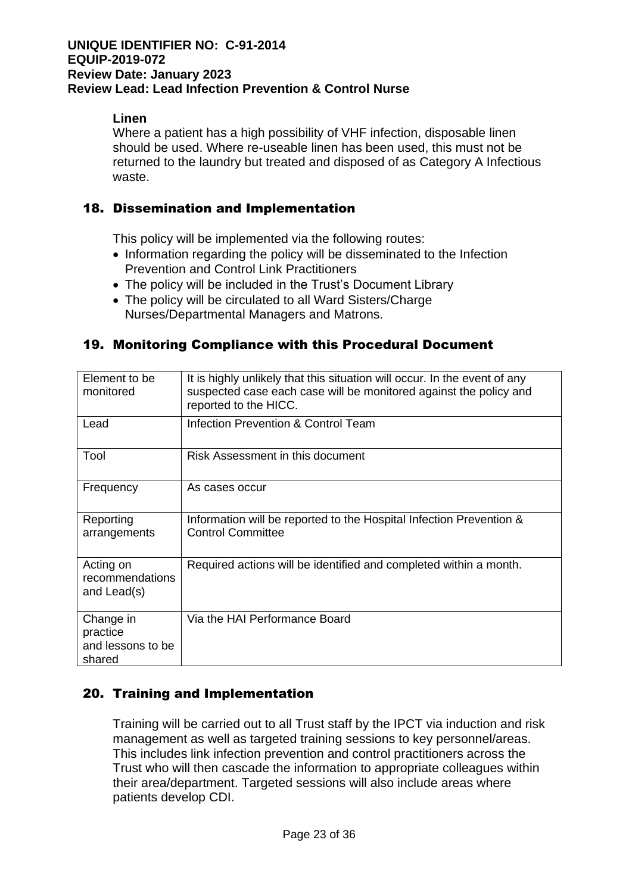# **Linen**

Where a patient has a high possibility of VHF infection, disposable linen should be used. Where re-useable linen has been used, this must not be returned to the laundry but treated and disposed of as Category A Infectious waste.

# 18. Dissemination and Implementation

This policy will be implemented via the following routes:

- Information regarding the policy will be disseminated to the Infection Prevention and Control Link Practitioners
- The policy will be included in the Trust's Document Library
- The policy will be circulated to all Ward Sisters/Charge Nurses/Departmental Managers and Matrons.

# 19. Monitoring Compliance with this Procedural Document

| Element to be<br>monitored                           | It is highly unlikely that this situation will occur. In the event of any<br>suspected case each case will be monitored against the policy and<br>reported to the HICC. |  |
|------------------------------------------------------|-------------------------------------------------------------------------------------------------------------------------------------------------------------------------|--|
| Lead                                                 | <b>Infection Prevention &amp; Control Team</b>                                                                                                                          |  |
| Tool                                                 | Risk Assessment in this document                                                                                                                                        |  |
| Frequency                                            | As cases occur                                                                                                                                                          |  |
| Reporting<br>arrangements                            | Information will be reported to the Hospital Infection Prevention &<br><b>Control Committee</b>                                                                         |  |
| Acting on<br>recommendations<br>and Lead(s)          | Required actions will be identified and completed within a month.                                                                                                       |  |
| Change in<br>practice<br>and lessons to be<br>shared | Via the HAI Performance Board                                                                                                                                           |  |

# 20. Training and Implementation

Training will be carried out to all Trust staff by the IPCT via induction and risk management as well as targeted training sessions to key personnel/areas. This includes link infection prevention and control practitioners across the Trust who will then cascade the information to appropriate colleagues within their area/department. Targeted sessions will also include areas where patients develop CDI.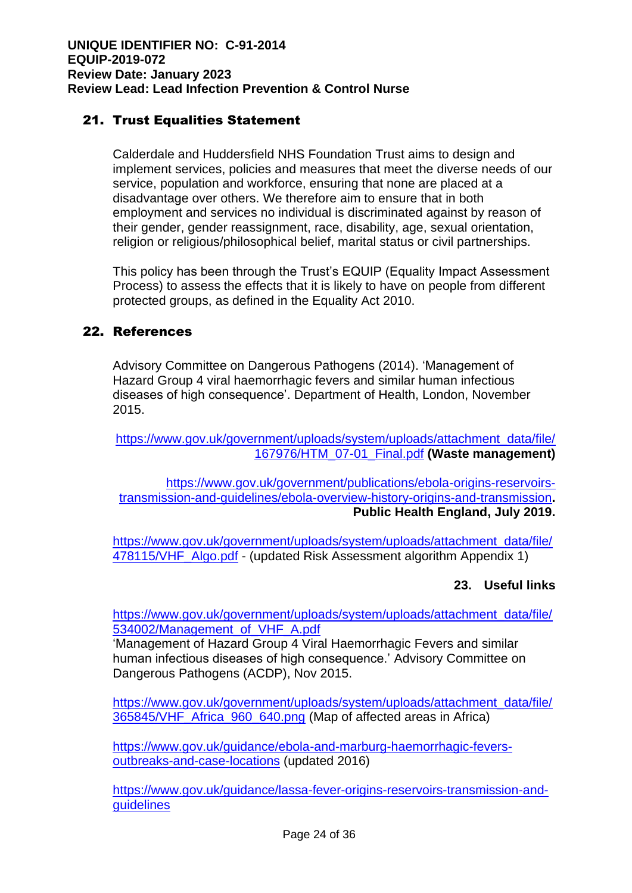# 21. Trust Equalities Statement

Calderdale and Huddersfield NHS Foundation Trust aims to design and implement services, policies and measures that meet the diverse needs of our service, population and workforce, ensuring that none are placed at a disadvantage over others. We therefore aim to ensure that in both employment and services no individual is discriminated against by reason of their gender, gender reassignment, race, disability, age, sexual orientation, religion or religious/philosophical belief, marital status or civil partnerships.

This policy has been through the Trust's EQUIP (Equality Impact Assessment Process) to assess the effects that it is likely to have on people from different protected groups, as defined in the Equality Act 2010.

# 22. References

Advisory Committee on Dangerous Pathogens (2014). 'Management of Hazard Group 4 viral haemorrhagic fevers and similar human infectious diseases of high consequence'. Department of Health, London, November 2015.

[https://www.gov.uk/government/uploads/system/uploads/attachment\\_data/file/](https://www.gov.uk/government/uploads/system/uploads/attachment_data/file/167976/HTM_07-01_Final.pdf) [167976/HTM\\_07-01\\_Final.pdf](https://www.gov.uk/government/uploads/system/uploads/attachment_data/file/167976/HTM_07-01_Final.pdf) **(Waste management)**

[https://www.gov.uk/government/publications/ebola-origins-reservoirs](https://www.gov.uk/government/publications/ebola-origins-reservoirs-transmission-and-guidelines/ebola-overview-history-origins-and-transmission)[transmission-and-guidelines/ebola-overview-history-origins-and-transmission](https://www.gov.uk/government/publications/ebola-origins-reservoirs-transmission-and-guidelines/ebola-overview-history-origins-and-transmission)**. Public Health England, July 2019.**

[https://www.gov.uk/government/uploads/system/uploads/attachment\\_data/file/](https://www.gov.uk/government/uploads/system/uploads/attachment_data/file/478115/VHF_Algo.pdf) [478115/VHF\\_Algo.pdf](https://www.gov.uk/government/uploads/system/uploads/attachment_data/file/478115/VHF_Algo.pdf) - (updated Risk Assessment algorithm Appendix 1)

# **23. Useful links**

[https://www.gov.uk/government/uploads/system/uploads/attachment\\_data/file/](https://www.gov.uk/government/uploads/system/uploads/attachment_data/file/534002/Management_of_VHF_A.pdf) [534002/Management\\_of\\_VHF\\_A.pdf](https://www.gov.uk/government/uploads/system/uploads/attachment_data/file/534002/Management_of_VHF_A.pdf)

'Management of Hazard Group 4 Viral Haemorrhagic Fevers and similar human infectious diseases of high consequence.' Advisory Committee on Dangerous Pathogens (ACDP), Nov 2015.

[https://www.gov.uk/government/uploads/system/uploads/attachment\\_data/file/](https://www.gov.uk/government/uploads/system/uploads/attachment_data/file/365845/VHF_Africa_960_640.png) [365845/VHF\\_Africa\\_960\\_640.png](https://www.gov.uk/government/uploads/system/uploads/attachment_data/file/365845/VHF_Africa_960_640.png) (Map of affected areas in Africa)

[https://www.gov.uk/guidance/ebola-and-marburg-haemorrhagic-fevers](https://www.gov.uk/guidance/ebola-and-marburg-haemorrhagic-fevers-outbreaks-and-case-locations)[outbreaks-and-case-locations](https://www.gov.uk/guidance/ebola-and-marburg-haemorrhagic-fevers-outbreaks-and-case-locations) (updated 2016)

[https://www.gov.uk/guidance/lassa-fever-origins-reservoirs-transmission-and](https://www.gov.uk/guidance/lassa-fever-origins-reservoirs-transmission-and-guidelines)[guidelines](https://www.gov.uk/guidance/lassa-fever-origins-reservoirs-transmission-and-guidelines)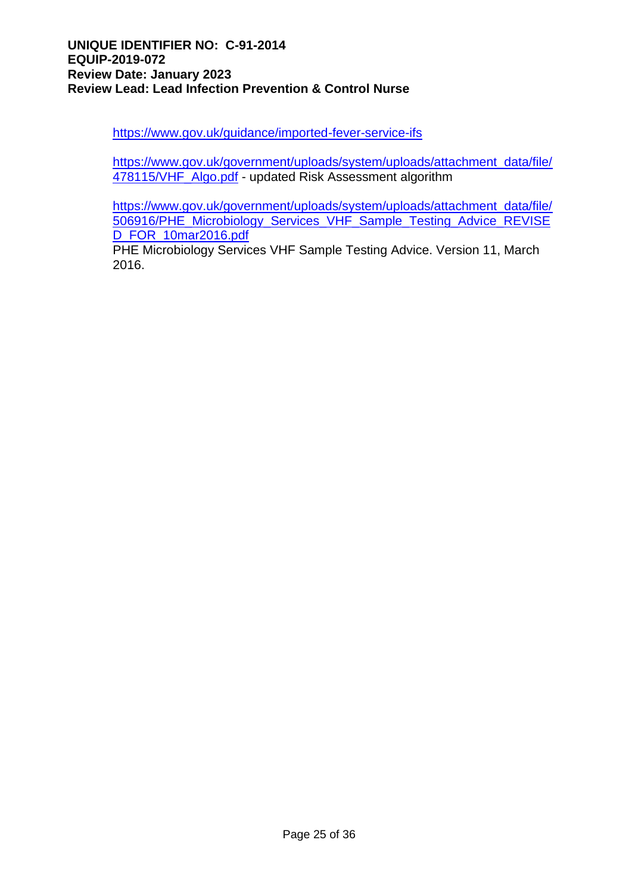<https://www.gov.uk/guidance/imported-fever-service-ifs>

[https://www.gov.uk/government/uploads/system/uploads/attachment\\_data/file/](https://www.gov.uk/government/uploads/system/uploads/attachment_data/file/478115/VHF_Algo.pdf) [478115/VHF\\_Algo.pdf](https://www.gov.uk/government/uploads/system/uploads/attachment_data/file/478115/VHF_Algo.pdf) - updated Risk Assessment algorithm

[https://www.gov.uk/government/uploads/system/uploads/attachment\\_data/file/](https://www.gov.uk/government/uploads/system/uploads/attachment_data/file/506916/PHE_Microbiology_Services_VHF_Sample_Testing_Advice_REVISED_FOR_10mar2016.pdf) [506916/PHE\\_Microbiology\\_Services\\_VHF\\_Sample\\_Testing\\_Advice\\_REVISE](https://www.gov.uk/government/uploads/system/uploads/attachment_data/file/506916/PHE_Microbiology_Services_VHF_Sample_Testing_Advice_REVISED_FOR_10mar2016.pdf) [D\\_FOR\\_10mar2016.pdf](https://www.gov.uk/government/uploads/system/uploads/attachment_data/file/506916/PHE_Microbiology_Services_VHF_Sample_Testing_Advice_REVISED_FOR_10mar2016.pdf)

PHE Microbiology Services VHF Sample Testing Advice. Version 11, March 2016.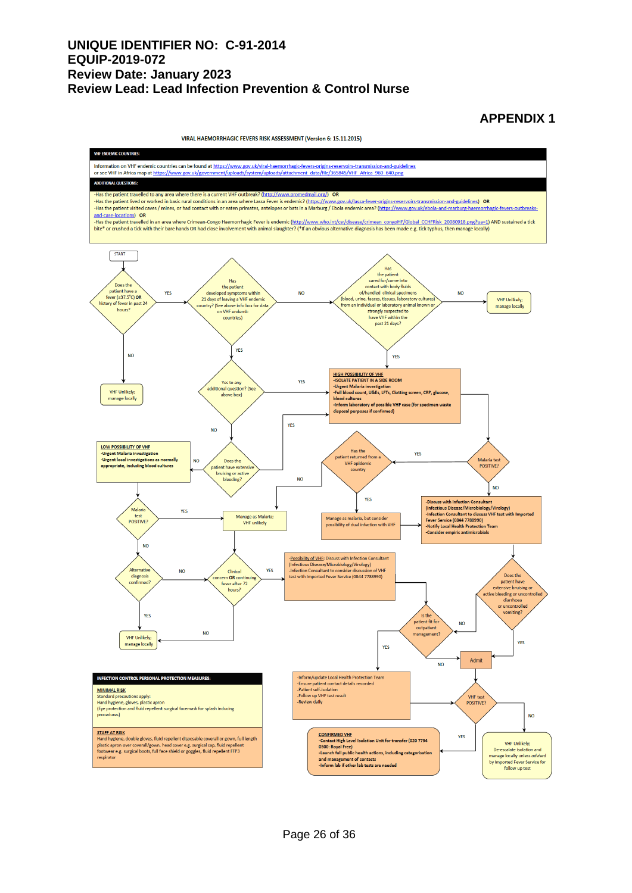#### **APPENDIX 1**

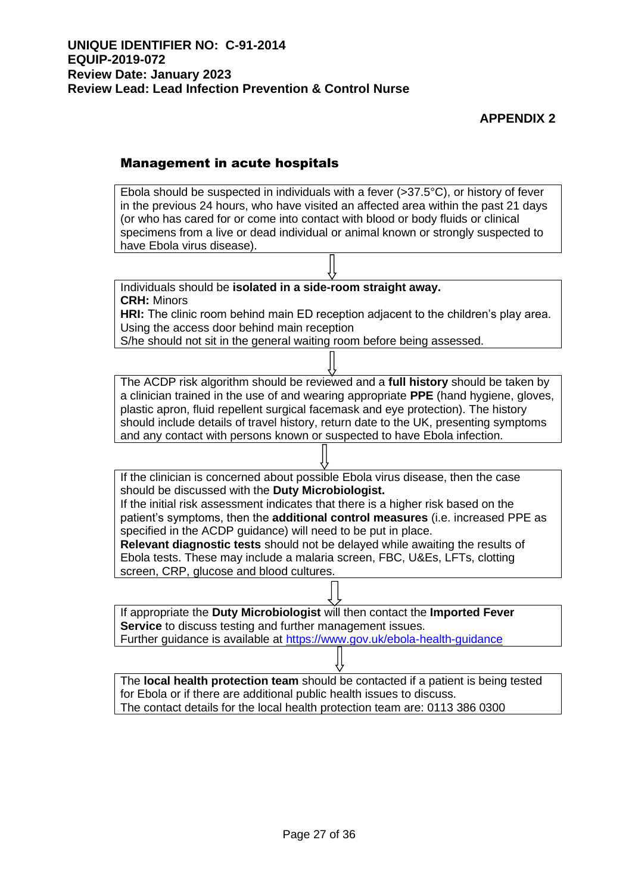# **APPENDIX 2**

#### Management in acute hospitals

Ebola should be suspected in individuals with a fever  $(>37.5^{\circ}C)$ , or history of fever in the previous 24 hours, who have visited an affected area within the past 21 days (or who has cared for or come into contact with blood or body fluids or clinical specimens from a live or dead individual or animal known or strongly suspected to have Ebola virus disease).

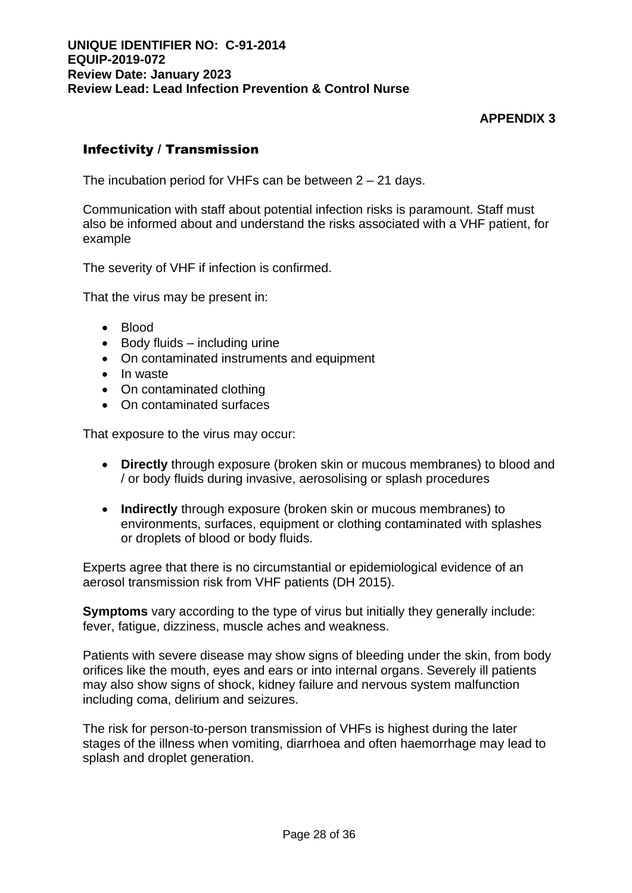# **APPENDIX 3**

# Infectivity / Transmission

The incubation period for VHFs can be between 2 – 21 days.

Communication with staff about potential infection risks is paramount. Staff must also be informed about and understand the risks associated with a VHF patient, for example

The severity of VHF if infection is confirmed.

That the virus may be present in:

- Blood
- Body fluids including urine
- On contaminated instruments and equipment
- In waste
- On contaminated clothing
- On contaminated surfaces

That exposure to the virus may occur:

- **Directly** through exposure (broken skin or mucous membranes) to blood and / or body fluids during invasive, aerosolising or splash procedures
- **Indirectly** through exposure (broken skin or mucous membranes) to environments, surfaces, equipment or clothing contaminated with splashes or droplets of blood or body fluids.

Experts agree that there is no circumstantial or epidemiological evidence of an aerosol transmission risk from VHF patients (DH 2015).

**Symptoms** vary according to the type of virus but initially they generally include: fever, fatigue, dizziness, muscle aches and weakness.

Patients with severe disease may show signs of bleeding under the skin, from body orifices like the mouth, eyes and ears or into internal organs. Severely ill patients may also show signs of shock, kidney failure and nervous system malfunction including coma, delirium and seizures.

The risk for person-to-person transmission of VHFs is highest during the later stages of the illness when vomiting, diarrhoea and often haemorrhage may lead to splash and droplet generation.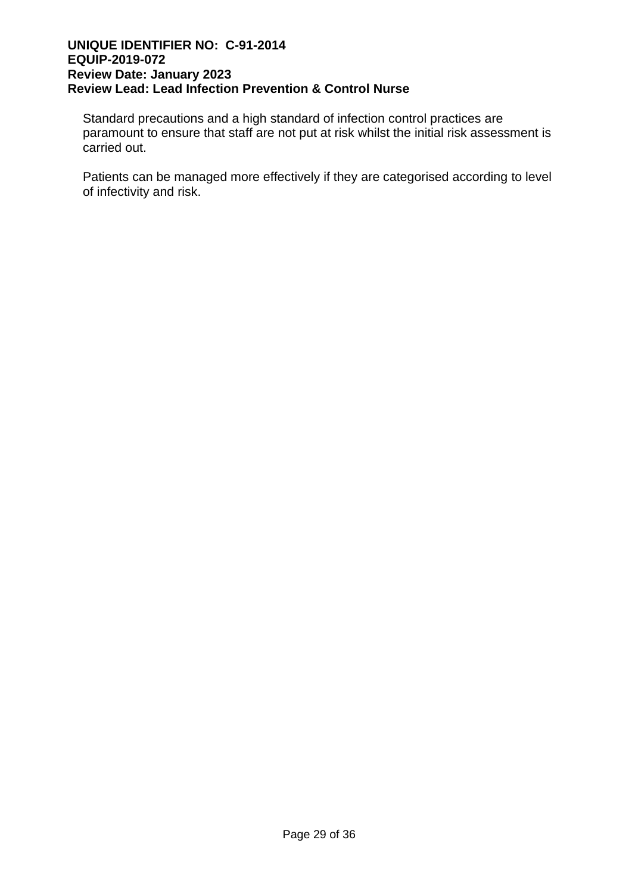Standard precautions and a high standard of infection control practices are paramount to ensure that staff are not put at risk whilst the initial risk assessment is carried out.

Patients can be managed more effectively if they are categorised according to level of infectivity and risk.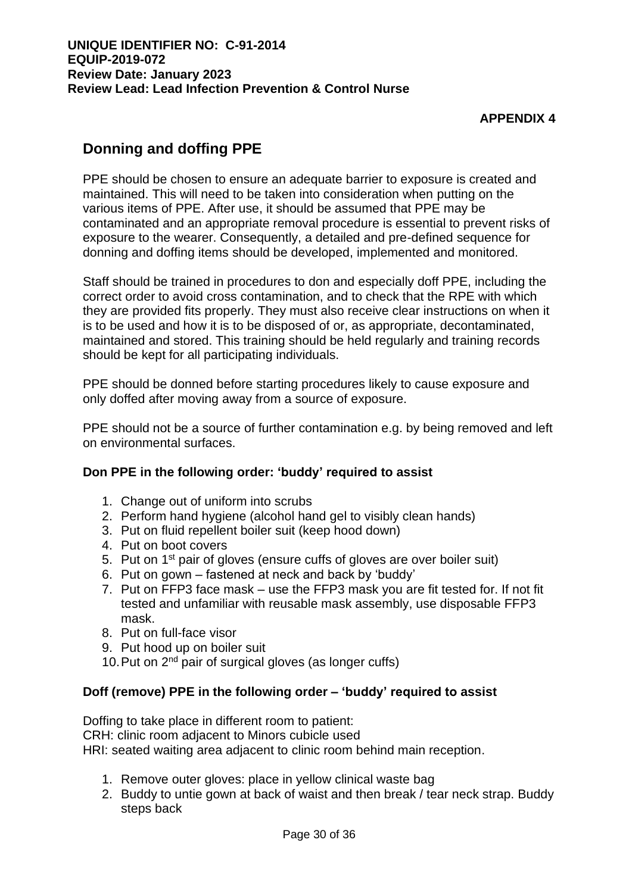# **APPENDIX 4**

# **Donning and doffing PPE**

PPE should be chosen to ensure an adequate barrier to exposure is created and maintained. This will need to be taken into consideration when putting on the various items of PPE. After use, it should be assumed that PPE may be contaminated and an appropriate removal procedure is essential to prevent risks of exposure to the wearer. Consequently, a detailed and pre-defined sequence for donning and doffing items should be developed, implemented and monitored.

Staff should be trained in procedures to don and especially doff PPE, including the correct order to avoid cross contamination, and to check that the RPE with which they are provided fits properly. They must also receive clear instructions on when it is to be used and how it is to be disposed of or, as appropriate, decontaminated, maintained and stored. This training should be held regularly and training records should be kept for all participating individuals.

PPE should be donned before starting procedures likely to cause exposure and only doffed after moving away from a source of exposure.

PPE should not be a source of further contamination e.g. by being removed and left on environmental surfaces.

# **Don PPE in the following order: 'buddy' required to assist**

- 1. Change out of uniform into scrubs
- 2. Perform hand hygiene (alcohol hand gel to visibly clean hands)
- 3. Put on fluid repellent boiler suit (keep hood down)
- 4. Put on boot covers
- 5. Put on 1st pair of gloves (ensure cuffs of gloves are over boiler suit)
- 6. Put on gown fastened at neck and back by 'buddy'
- 7. Put on FFP3 face mask use the FFP3 mask you are fit tested for. If not fit tested and unfamiliar with reusable mask assembly, use disposable FFP3 mask.
- 8. Put on full-face visor
- 9. Put hood up on boiler suit
- 10. Put on 2<sup>nd</sup> pair of surgical gloves (as longer cuffs)

# **Doff (remove) PPE in the following order – 'buddy' required to assist**

Doffing to take place in different room to patient:

CRH: clinic room adjacent to Minors cubicle used

HRI: seated waiting area adjacent to clinic room behind main reception.

- 1. Remove outer gloves: place in yellow clinical waste bag
- 2. Buddy to untie gown at back of waist and then break / tear neck strap. Buddy steps back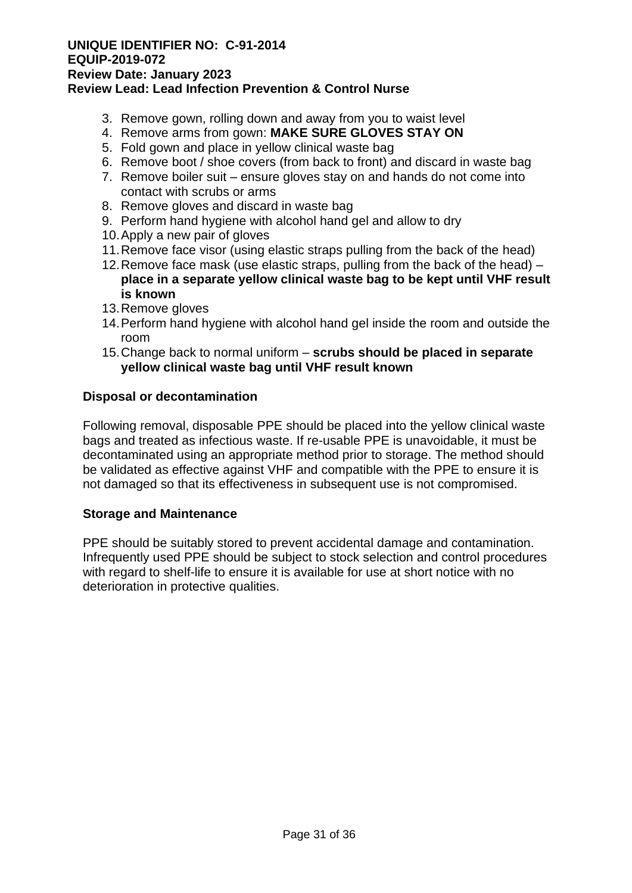#### **UNIQUE IDENTIFIER NO: C-91-2014 EQUIP-2019-072 Review Date: January 2023**

# **Review Lead: Lead Infection Prevention & Control Nurse**

- 3. Remove gown, rolling down and away from you to waist level
- 4. Remove arms from gown: **MAKE SURE GLOVES STAY ON**
- 5. Fold gown and place in yellow clinical waste bag
- 6. Remove boot / shoe covers (from back to front) and discard in waste bag
- 7. Remove boiler suit ensure gloves stay on and hands do not come into contact with scrubs or arms
- 8. Remove gloves and discard in waste bag
- 9. Perform hand hygiene with alcohol hand gel and allow to dry
- 10.Apply a new pair of gloves
- 11.Remove face visor (using elastic straps pulling from the back of the head)
- 12.Remove face mask (use elastic straps, pulling from the back of the head) **place in a separate yellow clinical waste bag to be kept until VHF result is known**
- 13.Remove gloves
- 14.Perform hand hygiene with alcohol hand gel inside the room and outside the room
- 15.Change back to normal uniform **scrubs should be placed in separate yellow clinical waste bag until VHF result known**

#### **Disposal or decontamination**

Following removal, disposable PPE should be placed into the yellow clinical waste bags and treated as infectious waste. If re-usable PPE is unavoidable, it must be decontaminated using an appropriate method prior to storage. The method should be validated as effective against VHF and compatible with the PPE to ensure it is not damaged so that its effectiveness in subsequent use is not compromised.

#### **Storage and Maintenance**

PPE should be suitably stored to prevent accidental damage and contamination. Infrequently used PPE should be subject to stock selection and control procedures with regard to shelf-life to ensure it is available for use at short notice with no deterioration in protective qualities.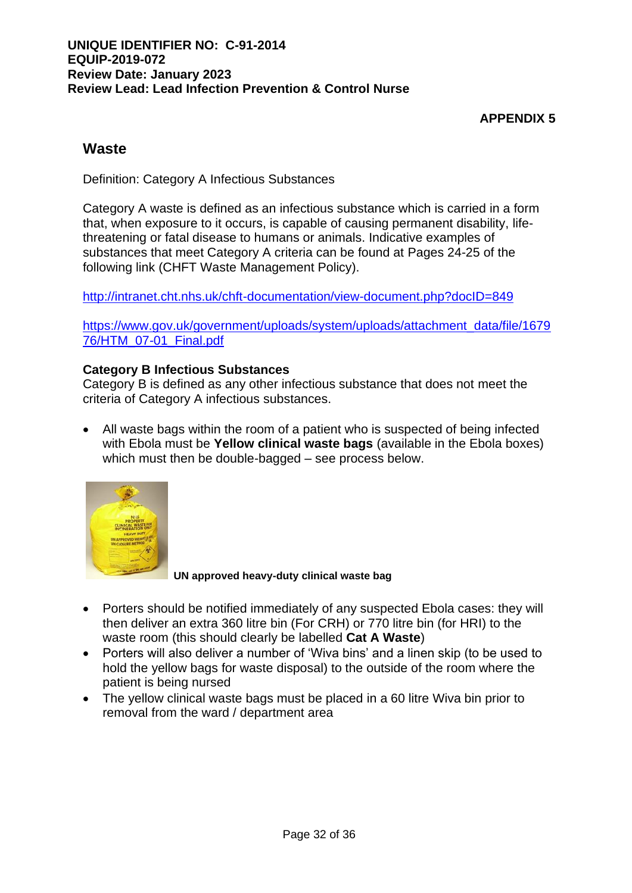# **APPENDIX 5**

# **Waste**

Definition: Category A Infectious Substances

Category A waste is defined as an infectious substance which is carried in a form that, when exposure to it occurs, is capable of causing permanent disability, lifethreatening or fatal disease to humans or animals. Indicative examples of substances that meet Category A criteria can be found at Pages 24-25 of the following link (CHFT Waste Management Policy).

<http://intranet.cht.nhs.uk/chft-documentation/view-document.php?docID=849>

[https://www.gov.uk/government/uploads/system/uploads/attachment\\_data/file/1679](https://www.gov.uk/government/uploads/system/uploads/attachment_data/file/167976/HTM_07-01_Final.pdf) [76/HTM\\_07-01\\_Final.pdf](https://www.gov.uk/government/uploads/system/uploads/attachment_data/file/167976/HTM_07-01_Final.pdf)

## **Category B Infectious Substances**

Category B is defined as any other infectious substance that does not meet the criteria of Category A infectious substances.

• All waste bags within the room of a patient who is suspected of being infected with Ebola must be **Yellow clinical waste bags** (available in the Ebola boxes) which must then be double-bagged – see process below.



**UN approved heavy-duty clinical waste bag**

- Porters should be notified immediately of any suspected Ebola cases: they will then deliver an extra 360 litre bin (For CRH) or 770 litre bin (for HRI) to the waste room (this should clearly be labelled **Cat A Waste**)
- Porters will also deliver a number of 'Wiva bins' and a linen skip (to be used to hold the yellow bags for waste disposal) to the outside of the room where the patient is being nursed
- The yellow clinical waste bags must be placed in a 60 litre Wiva bin prior to removal from the ward / department area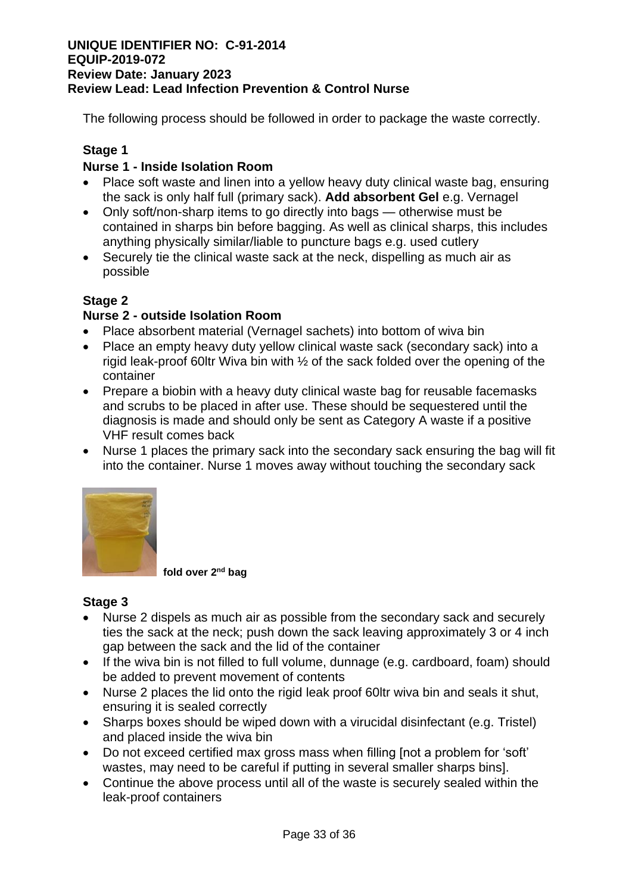The following process should be followed in order to package the waste correctly.

# **Stage 1**

# **Nurse 1 - Inside Isolation Room**

- Place soft waste and linen into a yellow heavy duty clinical waste bag, ensuring the sack is only half full (primary sack). **Add absorbent Gel** e.g. Vernagel
- Only soft/non-sharp items to go directly into bags otherwise must be contained in sharps bin before bagging. As well as clinical sharps, this includes anything physically similar/liable to puncture bags e.g. used cutlery
- Securely tie the clinical waste sack at the neck, dispelling as much air as possible

# **Stage 2**

# **Nurse 2 - outside Isolation Room**

- Place absorbent material (Vernagel sachets) into bottom of wiva bin
- Place an empty heavy duty yellow clinical waste sack (secondary sack) into a rigid leak-proof 60ltr Wiva bin with ½ of the sack folded over the opening of the container
- Prepare a biobin with a heavy duty clinical waste bag for reusable facemasks and scrubs to be placed in after use. These should be sequestered until the diagnosis is made and should only be sent as Category A waste if a positive VHF result comes back
- Nurse 1 places the primary sack into the secondary sack ensuring the bag will fit into the container. Nurse 1 moves away without touching the secondary sack



 **fold over 2nd bag**

# **Stage 3**

- Nurse 2 dispels as much air as possible from the secondary sack and securely ties the sack at the neck; push down the sack leaving approximately 3 or 4 inch gap between the sack and the lid of the container
- If the wiva bin is not filled to full volume, dunnage (e.g. cardboard, foam) should be added to prevent movement of contents
- Nurse 2 places the lid onto the rigid leak proof 60ltr wiva bin and seals it shut, ensuring it is sealed correctly
- Sharps boxes should be wiped down with a virucidal disinfectant (e.g. Tristel) and placed inside the wiva bin
- Do not exceed certified max gross mass when filling [not a problem for 'soft' wastes, may need to be careful if putting in several smaller sharps bins].
- Continue the above process until all of the waste is securely sealed within the leak-proof containers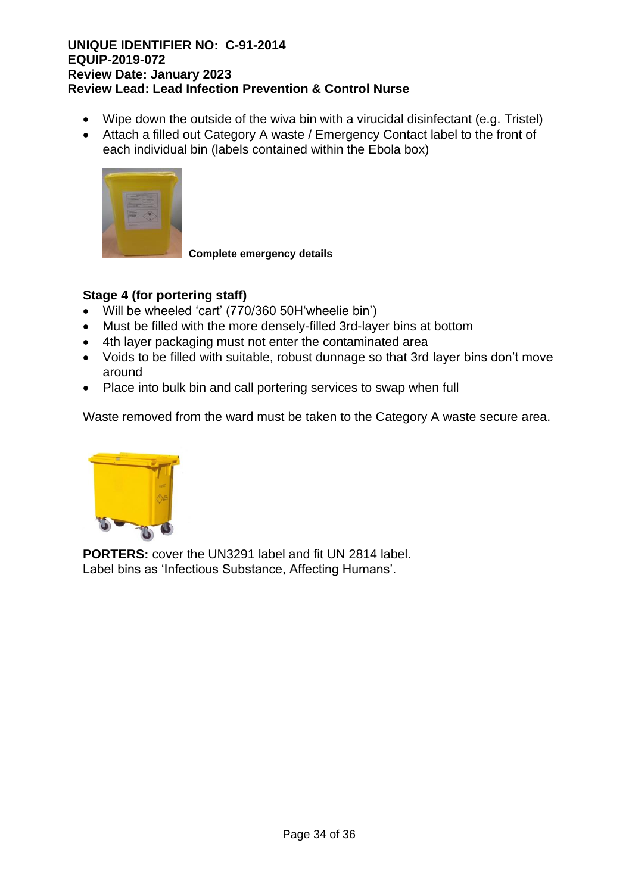- Wipe down the outside of the wiva bin with a virucidal disinfectant (e.g. Tristel)
- Attach a filled out Category A waste / Emergency Contact label to the front of each individual bin (labels contained within the Ebola box)



**Complete emergency details**

# **Stage 4 (for portering staff)**

- Will be wheeled 'cart' (770/360 50H'wheelie bin')
- Must be filled with the more densely-filled 3rd-layer bins at bottom
- 4th layer packaging must not enter the contaminated area
- Voids to be filled with suitable, robust dunnage so that 3rd layer bins don't move around
- Place into bulk bin and call portering services to swap when full

Waste removed from the ward must be taken to the Category A waste secure area.



**PORTERS:** cover the UN3291 label and fit UN 2814 label. Label bins as 'Infectious Substance, Affecting Humans'.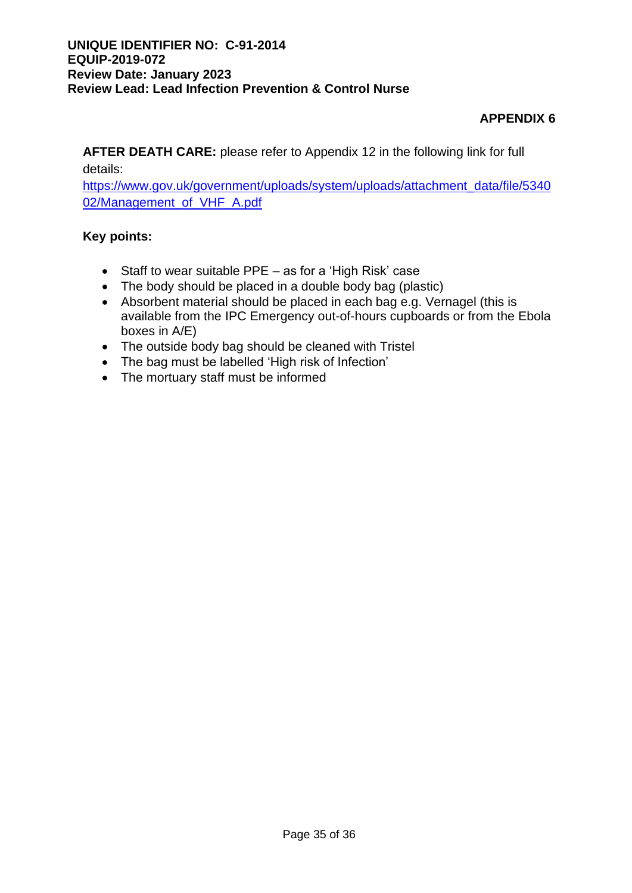# **APPENDIX 6**

**AFTER DEATH CARE:** please refer to Appendix 12 in the following link for full details:

[https://www.gov.uk/government/uploads/system/uploads/attachment\\_data/file/5340](https://www.gov.uk/government/uploads/system/uploads/attachment_data/file/534002/Management_of_VHF_A.pdf) [02/Management\\_of\\_VHF\\_A.pdf](https://www.gov.uk/government/uploads/system/uploads/attachment_data/file/534002/Management_of_VHF_A.pdf)

# **Key points:**

- Staff to wear suitable PPE as for a 'High Risk' case
- The body should be placed in a double body bag (plastic)
- Absorbent material should be placed in each bag e.g. Vernagel (this is available from the IPC Emergency out-of-hours cupboards or from the Ebola boxes in A/E)
- The outside body bag should be cleaned with Tristel
- The bag must be labelled 'High risk of Infection'
- The mortuary staff must be informed